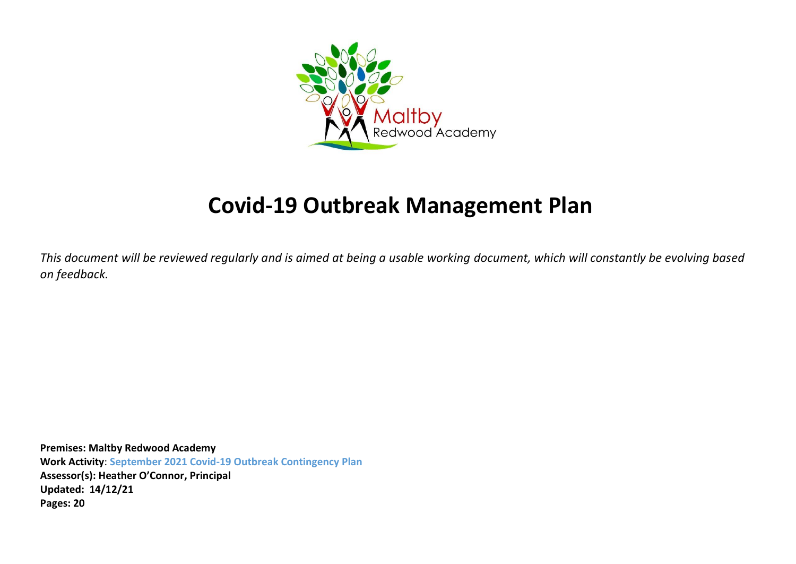

# **Covid-19 Outbreak Management Plan**

*This document will be reviewed regularly and is aimed at being a usable working document, which will constantly be evolving based on feedback.*

**Premises: Maltby Redwood Academy Work Activity**: **September 2021 Covid-19 Outbreak Contingency Plan Assessor(s): Heather O'Connor, Principal Updated: 14/12/21 Pages: 20**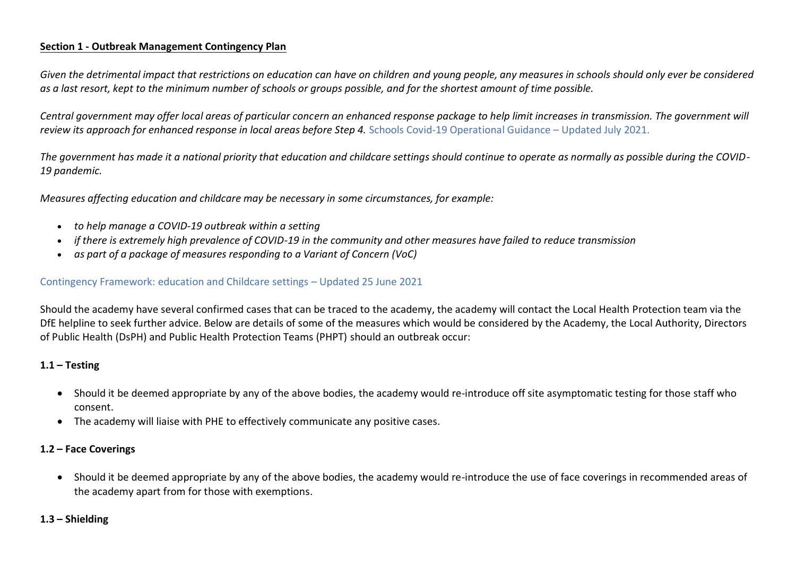### **Section 1 - Outbreak Management Contingency Plan**

*Given the detrimental impact that restrictions on education can have on children and young people, any measures in schools should only ever be considered as a last resort, kept to the minimum number of schools or groups possible, and for the shortest amount of time possible.*

*Central government may offer local areas of particular concern an enhanced response package to help limit increases in transmission. The government will*  review its approach for enhanced response in local areas before Step 4. Schools Covid-19 Operational Guidance – Updated July 2021.

*The government has made it a national priority that education and childcare settings should continue to operate as normally as possible during the COVID-19 pandemic.*

*Measures affecting education and childcare may be necessary in some circumstances, for example:*

- *to help manage a COVID-19 outbreak within a setting*
- *if there is extremely high prevalence of COVID-19 in the community and other measures have failed to reduce transmission*
- *as part of a package of measures responding to a Variant of Concern (VoC)*

#### Contingency Framework: education and Childcare settings – Updated 25 June 2021

Should the academy have several confirmed cases that can be traced to the academy, the academy will contact the Local Health Protection team via the DfE helpline to seek further advice. Below are details of some of the measures which would be considered by the Academy, the Local Authority, Directors of Public Health (DsPH) and Public Health Protection Teams (PHPT) should an outbreak occur:

### **1.1 – Testing**

- Should it be deemed appropriate by any of the above bodies, the academy would re-introduce off site asymptomatic testing for those staff who consent.
- The academy will liaise with PHE to effectively communicate any positive cases.

### **1.2 – Face Coverings**

• Should it be deemed appropriate by any of the above bodies, the academy would re-introduce the use of face coverings in recommended areas of the academy apart from for those with exemptions.

#### **1.3 – Shielding**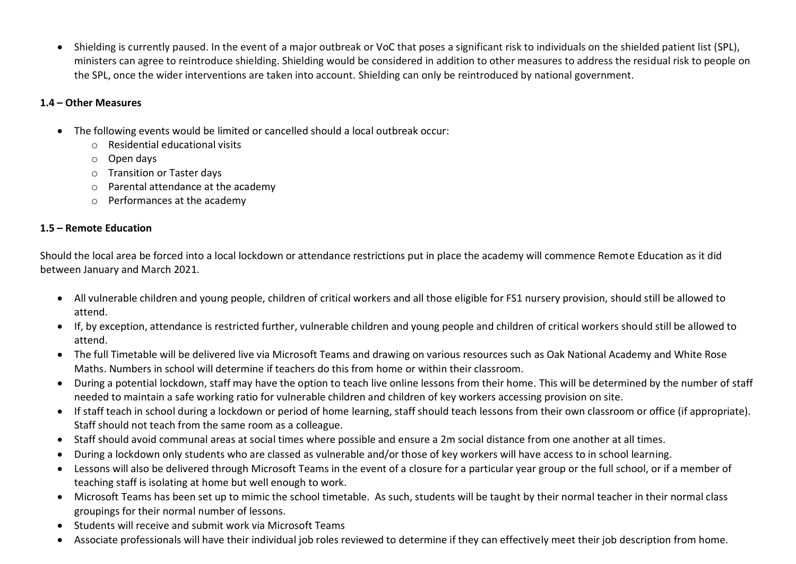Shielding is currently paused. In the event of a major outbreak or VoC that poses a significant risk to individuals on the shielded patient list (SPL), ministers can agree to reintroduce shielding. Shielding would be considered in addition to other measures to address the residual risk to people on the SPL, once the wider interventions are taken into account. Shielding can only be reintroduced by national government.

## **1.4 – Other Measures**

- The following events would be limited or cancelled should a local outbreak occur:
	- o Residential educational visits
	- o Open days
	- o Transition or Taster days
	- o Parental attendance at the academy
	- o Performances at the academy

## **1.5 – Remote Education**

Should the local area be forced into a local lockdown or attendance restrictions put in place the academy will commence Remote Education as it did between January and March 2021.

- All vulnerable children and young people, children of critical workers and all those eligible for FS1 nursery provision, should still be allowed to attend.
- If, by exception, attendance is restricted further, vulnerable children and young people and children of critical workers should still be allowed to attend.
- The full Timetable will be delivered live via Microsoft Teams and drawing on various resources such as Oak National Academy and White Rose Maths. Numbers in school will determine if teachers do this from home or within their classroom.
- During a potential lockdown, staff may have the option to teach live online lessons from their home. This will be determined by the number of staff needed to maintain a safe working ratio for vulnerable children and children of key workers accessing provision on site.
- If staff teach in school during a lockdown or period of home learning, staff should teach lessons from their own classroom or office (if appropriate). Staff should not teach from the same room as a colleague.
- Staff should avoid communal areas at social times where possible and ensure a 2m social distance from one another at all times.
- During a lockdown only students who are classed as vulnerable and/or those of key workers will have access to in school learning.
- Lessons will also be delivered through Microsoft Teams in the event of a closure for a particular year group or the full school, or if a member of teaching staff is isolating at home but well enough to work.
- Microsoft Teams has been set up to mimic the school timetable. As such, students will be taught by their normal teacher in their normal class groupings for their normal number of lessons.
- Students will receive and submit work via Microsoft Teams
- Associate professionals will have their individual job roles reviewed to determine if they can effectively meet their job description from home.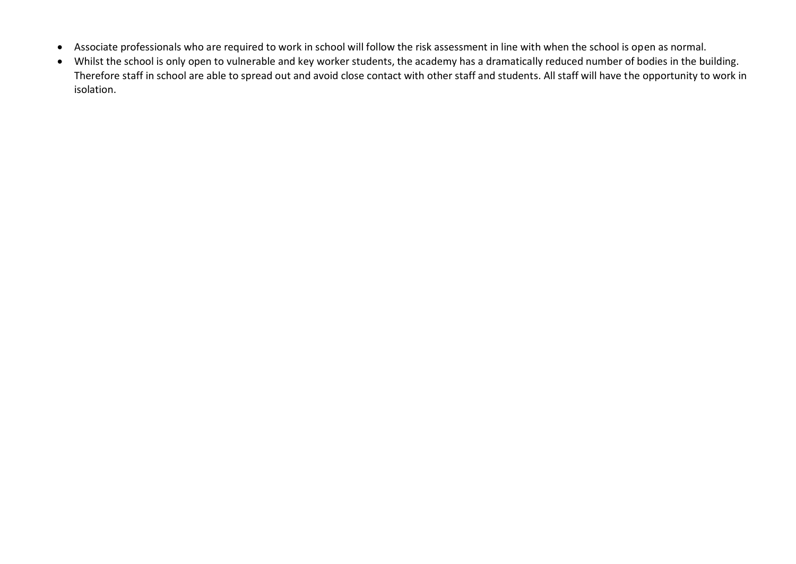- Associate professionals who are required to work in school will follow the risk assessment in line with when the school is open as normal.
- Whilst the school is only open to vulnerable and key worker students, the academy has a dramatically reduced number of bodies in the building. Therefore staff in school are able to spread out and avoid close contact with other staff and students. All staff will have the opportunity to work in isolation.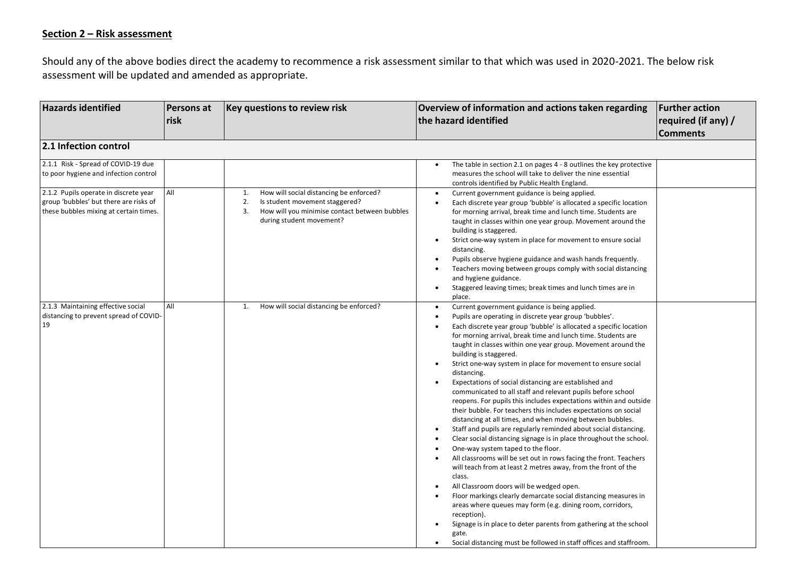### **Section 2 – Risk assessment**

Should any of the above bodies direct the academy to recommence a risk assessment similar to that which was used in 2020-2021. The below risk assessment will be updated and amended as appropriate.

| <b>Hazards identified</b>                                                                                                 | <b>Persons at</b><br>risk | Key questions to review risk                                                                                                                                             | Overview of information and actions taken regarding<br>the hazard identified                                                                                                                                                                                                                                                                                                                                                                                                                                                                                                                                                                                                                                                                                                                                                                                                                                                                                                                                                                                                                                                                                                                                                                                                                                                                                                                                                                                                                                                                           | <b>Further action</b><br>required (if any) /<br><b>Comments</b> |
|---------------------------------------------------------------------------------------------------------------------------|---------------------------|--------------------------------------------------------------------------------------------------------------------------------------------------------------------------|--------------------------------------------------------------------------------------------------------------------------------------------------------------------------------------------------------------------------------------------------------------------------------------------------------------------------------------------------------------------------------------------------------------------------------------------------------------------------------------------------------------------------------------------------------------------------------------------------------------------------------------------------------------------------------------------------------------------------------------------------------------------------------------------------------------------------------------------------------------------------------------------------------------------------------------------------------------------------------------------------------------------------------------------------------------------------------------------------------------------------------------------------------------------------------------------------------------------------------------------------------------------------------------------------------------------------------------------------------------------------------------------------------------------------------------------------------------------------------------------------------------------------------------------------------|-----------------------------------------------------------------|
| 2.1 Infection control                                                                                                     |                           |                                                                                                                                                                          |                                                                                                                                                                                                                                                                                                                                                                                                                                                                                                                                                                                                                                                                                                                                                                                                                                                                                                                                                                                                                                                                                                                                                                                                                                                                                                                                                                                                                                                                                                                                                        |                                                                 |
| 2.1.1 Risk - Spread of COVID-19 due<br>to poor hygiene and infection control                                              |                           |                                                                                                                                                                          | The table in section 2.1 on pages 4 - 8 outlines the key protective<br>measures the school will take to deliver the nine essential<br>controls identified by Public Health England.                                                                                                                                                                                                                                                                                                                                                                                                                                                                                                                                                                                                                                                                                                                                                                                                                                                                                                                                                                                                                                                                                                                                                                                                                                                                                                                                                                    |                                                                 |
| 2.1.2 Pupils operate in discrete year<br>group 'bubbles' but there are risks of<br>these bubbles mixing at certain times. | All                       | How will social distancing be enforced?<br>1.<br>2.<br>Is student movement staggered?<br>How will you minimise contact between bubbles<br>3.<br>during student movement? | Current government guidance is being applied.<br>$\bullet$<br>Each discrete year group 'bubble' is allocated a specific location<br>$\bullet$<br>for morning arrival, break time and lunch time. Students are<br>taught in classes within one year group. Movement around the<br>building is staggered.<br>Strict one-way system in place for movement to ensure social<br>$\bullet$<br>distancing.<br>Pupils observe hygiene guidance and wash hands frequently.<br>$\bullet$<br>Teachers moving between groups comply with social distancing<br>and hygiene guidance.<br>Staggered leaving times; break times and lunch times are in<br>$\bullet$<br>place.                                                                                                                                                                                                                                                                                                                                                                                                                                                                                                                                                                                                                                                                                                                                                                                                                                                                                          |                                                                 |
| 2.1.3 Maintaining effective social<br>distancing to prevent spread of COVID-<br>19                                        | All                       | How will social distancing be enforced?<br>1.                                                                                                                            | Current government guidance is being applied.<br>$\bullet$<br>Pupils are operating in discrete year group 'bubbles'.<br>$\bullet$<br>Each discrete year group 'bubble' is allocated a specific location<br>for morning arrival, break time and lunch time. Students are<br>taught in classes within one year group. Movement around the<br>building is staggered.<br>Strict one-way system in place for movement to ensure social<br>distancing.<br>Expectations of social distancing are established and<br>$\bullet$<br>communicated to all staff and relevant pupils before school<br>reopens. For pupils this includes expectations within and outside<br>their bubble. For teachers this includes expectations on social<br>distancing at all times, and when moving between bubbles.<br>Staff and pupils are regularly reminded about social distancing.<br>$\bullet$<br>Clear social distancing signage is in place throughout the school.<br>$\bullet$<br>One-way system taped to the floor.<br>$\bullet$<br>All classrooms will be set out in rows facing the front. Teachers<br>will teach from at least 2 metres away, from the front of the<br>class.<br>All Classroom doors will be wedged open.<br>$\bullet$<br>Floor markings clearly demarcate social distancing measures in<br>$\bullet$<br>areas where queues may form (e.g. dining room, corridors,<br>reception).<br>Signage is in place to deter parents from gathering at the school<br>gate.<br>Social distancing must be followed in staff offices and staffroom.<br>$\bullet$ |                                                                 |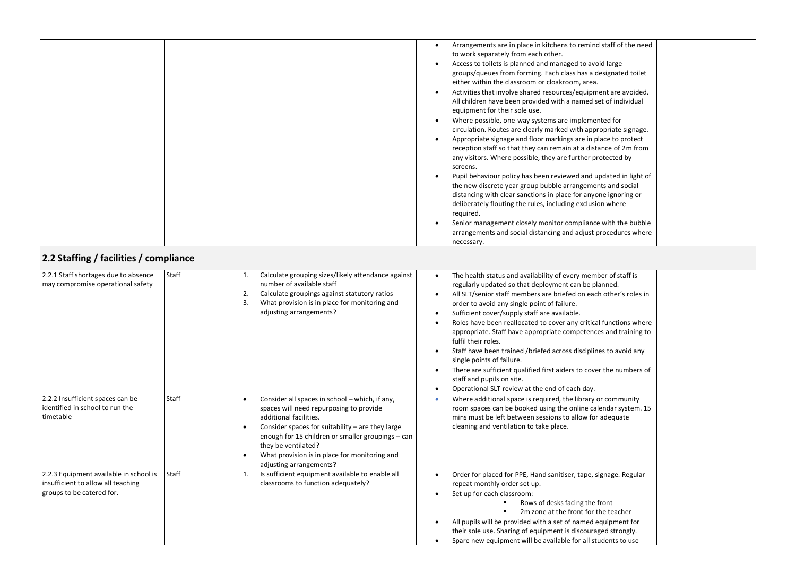| 2.2 Staffing / facilities / compliance                                                                    |       |                                                                                                                                                                                                                                                                                                                                                        | Arrangements are in place in kitchens to remind staff of the need<br>$\bullet$<br>to work separately from each other.<br>Access to toilets is planned and managed to avoid large<br>groups/queues from forming. Each class has a designated toilet<br>either within the classroom or cloakroom, area.<br>Activities that involve shared resources/equipment are avoided.<br>$\bullet$<br>All children have been provided with a named set of individual<br>equipment for their sole use.<br>Where possible, one-way systems are implemented for<br>$\bullet$<br>circulation. Routes are clearly marked with appropriate signage.<br>Appropriate signage and floor markings are in place to protect<br>$\bullet$<br>reception staff so that they can remain at a distance of 2m from<br>any visitors. Where possible, they are further protected by<br>screens.<br>Pupil behaviour policy has been reviewed and updated in light of<br>the new discrete year group bubble arrangements and social<br>distancing with clear sanctions in place for anyone ignoring or<br>deliberately flouting the rules, including exclusion where<br>required.<br>Senior management closely monitor compliance with the bubble<br>arrangements and social distancing and adjust procedures where<br>necessary. |
|-----------------------------------------------------------------------------------------------------------|-------|--------------------------------------------------------------------------------------------------------------------------------------------------------------------------------------------------------------------------------------------------------------------------------------------------------------------------------------------------------|------------------------------------------------------------------------------------------------------------------------------------------------------------------------------------------------------------------------------------------------------------------------------------------------------------------------------------------------------------------------------------------------------------------------------------------------------------------------------------------------------------------------------------------------------------------------------------------------------------------------------------------------------------------------------------------------------------------------------------------------------------------------------------------------------------------------------------------------------------------------------------------------------------------------------------------------------------------------------------------------------------------------------------------------------------------------------------------------------------------------------------------------------------------------------------------------------------------------------------------------------------------------------------------------|
|                                                                                                           |       |                                                                                                                                                                                                                                                                                                                                                        |                                                                                                                                                                                                                                                                                                                                                                                                                                                                                                                                                                                                                                                                                                                                                                                                                                                                                                                                                                                                                                                                                                                                                                                                                                                                                                |
| 2.2.1 Staff shortages due to absence<br>may compromise operational safety                                 | Staff | Calculate grouping sizes/likely attendance against<br>1.<br>number of available staff<br>2.<br>Calculate groupings against statutory ratios<br>3.<br>What provision is in place for monitoring and<br>adjusting arrangements?                                                                                                                          | The health status and availability of every member of staff is<br>$\bullet$<br>regularly updated so that deployment can be planned.<br>All SLT/senior staff members are briefed on each other's roles in<br>$\bullet$<br>order to avoid any single point of failure.<br>Sufficient cover/supply staff are available.<br>$\bullet$<br>Roles have been reallocated to cover any critical functions where<br>$\bullet$<br>appropriate. Staff have appropriate competences and training to<br>fulfil their roles.<br>Staff have been trained /briefed across disciplines to avoid any<br>$\bullet$<br>single points of failure.<br>There are sufficient qualified first aiders to cover the numbers of<br>$\bullet$<br>staff and pupils on site.<br>Operational SLT review at the end of each day.<br>$\bullet$                                                                                                                                                                                                                                                                                                                                                                                                                                                                                    |
| 2.2.2 Insufficient spaces can be<br>identified in school to run the<br>timetable                          | Staff | Consider all spaces in school - which, if any,<br>$\bullet$<br>spaces will need repurposing to provide<br>additional facilities.<br>Consider spaces for suitability - are they large<br>٠<br>enough for 15 children or smaller groupings - can<br>they be ventilated?<br>What provision is in place for monitoring and<br>٠<br>adjusting arrangements? | Where additional space is required, the library or community<br>room spaces can be booked using the online calendar system. 15<br>mins must be left between sessions to allow for adequate<br>cleaning and ventilation to take place.                                                                                                                                                                                                                                                                                                                                                                                                                                                                                                                                                                                                                                                                                                                                                                                                                                                                                                                                                                                                                                                          |
| 2.2.3 Equipment available in school is<br>insufficient to allow all teaching<br>groups to be catered for. | Staff | Is sufficient equipment available to enable all<br>1.<br>classrooms to function adequately?                                                                                                                                                                                                                                                            | Order for placed for PPE, Hand sanitiser, tape, signage. Regular<br>$\bullet$<br>repeat monthly order set up.<br>Set up for each classroom:<br>٠<br>Rows of desks facing the front<br>2m zone at the front for the teacher<br>٠<br>All pupils will be provided with a set of named equipment for<br>$\bullet$<br>their sole use. Sharing of equipment is discouraged strongly.<br>Spare new equipment will be available for all students to use<br>$\bullet$                                                                                                                                                                                                                                                                                                                                                                                                                                                                                                                                                                                                                                                                                                                                                                                                                                   |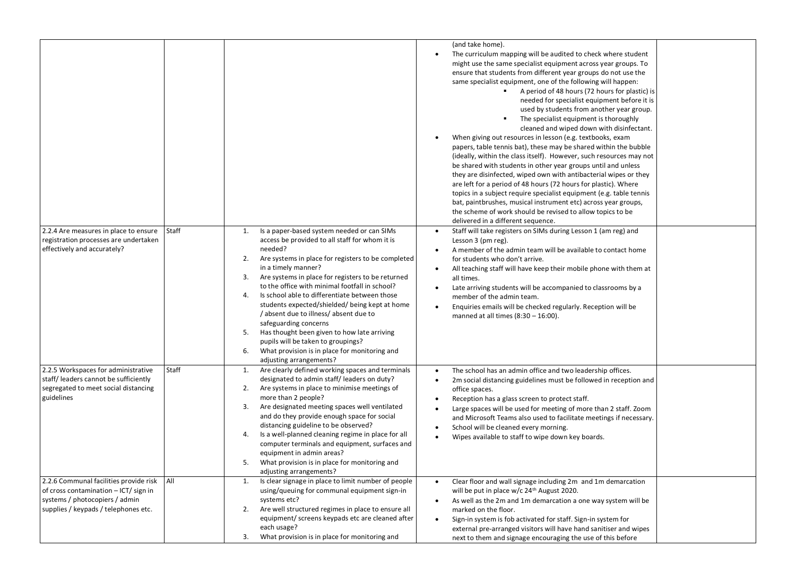|                                                                                                                                                           |       |                                                                                                                                                                                                                                                                                                                                                                                                                                                                                                                                                                                                                                                                        | (and take home).<br>The curriculum mapping will be audited to check where student<br>might use the same specialist equipment across year groups. To<br>ensure that students from different year groups do not use the<br>same specialist equipment, one of the following will happen:<br>A period of 48 hours (72 hours for plastic) is<br>$\blacksquare$<br>needed for specialist equipment before it is<br>used by students from another year group.<br>The specialist equipment is thoroughly<br>cleaned and wiped down with disinfectant.<br>When giving out resources in lesson (e.g. textbooks, exam<br>papers, table tennis bat), these may be shared within the bubble<br>(ideally, within the class itself). However, such resources may not<br>be shared with students in other year groups until and unless<br>they are disinfected, wiped own with antibacterial wipes or they<br>are left for a period of 48 hours (72 hours for plastic). Where<br>topics in a subject require specialist equipment (e.g. table tennis<br>bat, paintbrushes, musical instrument etc) across year groups,<br>the scheme of work should be revised to allow topics to be<br>delivered in a different sequence. |
|-----------------------------------------------------------------------------------------------------------------------------------------------------------|-------|------------------------------------------------------------------------------------------------------------------------------------------------------------------------------------------------------------------------------------------------------------------------------------------------------------------------------------------------------------------------------------------------------------------------------------------------------------------------------------------------------------------------------------------------------------------------------------------------------------------------------------------------------------------------|------------------------------------------------------------------------------------------------------------------------------------------------------------------------------------------------------------------------------------------------------------------------------------------------------------------------------------------------------------------------------------------------------------------------------------------------------------------------------------------------------------------------------------------------------------------------------------------------------------------------------------------------------------------------------------------------------------------------------------------------------------------------------------------------------------------------------------------------------------------------------------------------------------------------------------------------------------------------------------------------------------------------------------------------------------------------------------------------------------------------------------------------------------------------------------------------------------|
| 2.2.4 Are measures in place to ensure<br>registration processes are undertaken<br>effectively and accurately?                                             | Staff | Is a paper-based system needed or can SIMs<br>1.<br>access be provided to all staff for whom it is<br>needed?<br>2.<br>Are systems in place for registers to be completed<br>in a timely manner?<br>Are systems in place for registers to be returned<br>3.<br>to the office with minimal footfall in school?<br>Is school able to differentiate between those<br>4.<br>students expected/shielded/ being kept at home<br>/ absent due to illness/ absent due to<br>safeguarding concerns<br>Has thought been given to how late arriving<br>5.<br>pupils will be taken to groupings?<br>What provision is in place for monitoring and<br>6.<br>adjusting arrangements? | Staff will take registers on SIMs during Lesson 1 (am reg) and<br>Lesson 3 (pm reg).<br>A member of the admin team will be available to contact home<br>for students who don't arrive.<br>All teaching staff will have keep their mobile phone with them at<br>all times.<br>Late arriving students will be accompanied to classrooms by a<br>member of the admin team.<br>Enquiries emails will be checked regularly. Reception will be<br>manned at all times $(8:30 - 16:00)$ .                                                                                                                                                                                                                                                                                                                                                                                                                                                                                                                                                                                                                                                                                                                         |
| 2.2.5 Workspaces for administrative<br>staff/ leaders cannot be sufficiently<br>segregated to meet social distancing<br>guidelines                        | Staff | Are clearly defined working spaces and terminals<br>1.<br>designated to admin staff/leaders on duty?<br>Are systems in place to minimise meetings of<br>2.<br>more than 2 people?<br>Are designated meeting spaces well ventilated<br>3.<br>and do they provide enough space for social<br>distancing guideline to be observed?<br>Is a well-planned cleaning regime in place for all<br>4.<br>computer terminals and equipment, surfaces and<br>equipment in admin areas?<br>What provision is in place for monitoring and<br>adjusting arrangements?                                                                                                                 | The school has an admin office and two leadership offices.<br>$\bullet$<br>2m social distancing guidelines must be followed in reception and<br>$\bullet$<br>office spaces.<br>Reception has a glass screen to protect staff.<br>$\bullet$<br>Large spaces will be used for meeting of more than 2 staff. Zoom<br>and Microsoft Teams also used to facilitate meetings if necessary.<br>School will be cleaned every morning.<br>$\bullet$<br>Wipes available to staff to wipe down key boards.<br>$\bullet$                                                                                                                                                                                                                                                                                                                                                                                                                                                                                                                                                                                                                                                                                               |
| 2.2.6 Communal facilities provide risk<br>of cross contamination - ICT/ sign in<br>systems / photocopiers / admin<br>supplies / keypads / telephones etc. | All   | Is clear signage in place to limit number of people<br>1.<br>using/queuing for communal equipment sign-in<br>systems etc?<br>Are well structured regimes in place to ensure all<br>2.<br>equipment/ screens keypads etc are cleaned after<br>each usage?<br>What provision is in place for monitoring and<br>3.                                                                                                                                                                                                                                                                                                                                                        | Clear floor and wall signage including 2m and 1m demarcation<br>$\bullet$<br>will be put in place w/c 24 <sup>th</sup> August 2020.<br>As well as the 2m and 1m demarcation a one way system will be<br>marked on the floor.<br>Sign-in system is fob activated for staff. Sign-in system for<br>$\bullet$<br>external pre-arranged visitors will have hand sanitiser and wipes<br>next to them and signage encouraging the use of this before                                                                                                                                                                                                                                                                                                                                                                                                                                                                                                                                                                                                                                                                                                                                                             |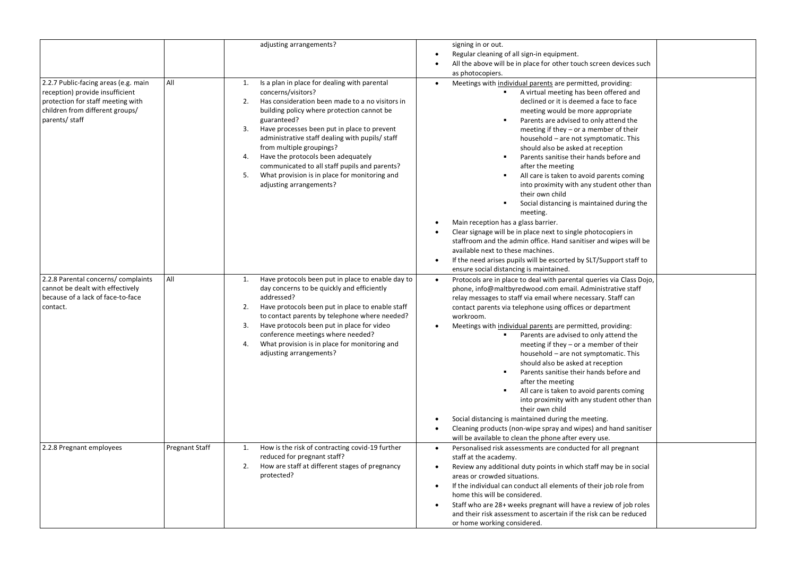|                                                                                                                                                                   |                       | adjusting arrangements?                                                                                                                                                                                                                                                                                                                                                                                                                                                                                           | signing in or out.<br>Regular cleaning of all sign-in equipment.<br>$\bullet$<br>All the above will be in place for other touch screen devices such<br>$\bullet$<br>as photocopiers.                                                                                                                                                                                                                                                                                                                                                                                                                                                                                                                                                                                                                                                                                                                                                                                                                                            |
|-------------------------------------------------------------------------------------------------------------------------------------------------------------------|-----------------------|-------------------------------------------------------------------------------------------------------------------------------------------------------------------------------------------------------------------------------------------------------------------------------------------------------------------------------------------------------------------------------------------------------------------------------------------------------------------------------------------------------------------|---------------------------------------------------------------------------------------------------------------------------------------------------------------------------------------------------------------------------------------------------------------------------------------------------------------------------------------------------------------------------------------------------------------------------------------------------------------------------------------------------------------------------------------------------------------------------------------------------------------------------------------------------------------------------------------------------------------------------------------------------------------------------------------------------------------------------------------------------------------------------------------------------------------------------------------------------------------------------------------------------------------------------------|
| 2.2.7 Public-facing areas (e.g. main<br>reception) provide insufficient<br>protection for staff meeting with<br>children from different groups/<br>parents/ staff | All                   | Is a plan in place for dealing with parental<br>1.<br>concerns/visitors?<br>2.<br>Has consideration been made to a no visitors in<br>building policy where protection cannot be<br>guaranteed?<br>3.<br>Have processes been put in place to prevent<br>administrative staff dealing with pupils/ staff<br>from multiple groupings?<br>Have the protocols been adequately<br>4.<br>communicated to all staff pupils and parents?<br>What provision is in place for monitoring and<br>5.<br>adjusting arrangements? | Meetings with individual parents are permitted, providing:<br>$\bullet$<br>A virtual meeting has been offered and<br>declined or it is deemed a face to face<br>meeting would be more appropriate<br>Parents are advised to only attend the<br>$\blacksquare$<br>meeting if they $-$ or a member of their<br>household - are not symptomatic. This<br>should also be asked at reception<br>Parents sanitise their hands before and<br>$\blacksquare$<br>after the meeting<br>All care is taken to avoid parents coming<br>$\blacksquare$<br>into proximity with any student other than<br>their own child<br>Social distancing is maintained during the<br>meeting.<br>Main reception has a glass barrier.<br>Clear signage will be in place next to single photocopiers in<br>$\bullet$<br>staffroom and the admin office. Hand sanitiser and wipes will be<br>available next to these machines.<br>If the need arises pupils will be escorted by SLT/Support staff to<br>$\bullet$<br>ensure social distancing is maintained. |
| 2.2.8 Parental concerns/ complaints<br>cannot be dealt with effectively<br>because of a lack of face-to-face<br>contact.                                          | All                   | Have protocols been put in place to enable day to<br>1.<br>day concerns to be quickly and efficiently<br>addressed?<br>2.<br>Have protocols been put in place to enable staff<br>to contact parents by telephone where needed?<br>3.<br>Have protocols been put in place for video<br>conference meetings where needed?<br>4.<br>What provision is in place for monitoring and<br>adjusting arrangements?                                                                                                         | Protocols are in place to deal with parental queries via Class Dojo,<br>$\bullet$<br>phone, info@maltbyredwood.com email. Administrative staff<br>relay messages to staff via email where necessary. Staff can<br>contact parents via telephone using offices or department<br>workroom.<br>Meetings with individual parents are permitted, providing:<br>$\bullet$<br>Parents are advised to only attend the<br>meeting if they $-$ or a member of their<br>household - are not symptomatic. This<br>should also be asked at reception<br>Parents sanitise their hands before and<br>٠<br>after the meeting<br>All care is taken to avoid parents coming<br>into proximity with any student other than<br>their own child<br>Social distancing is maintained during the meeting.<br>Cleaning products (non-wipe spray and wipes) and hand sanitiser<br>$\bullet$<br>will be available to clean the phone after every use.                                                                                                      |
| 2.2.8 Pregnant employees                                                                                                                                          | <b>Pregnant Staff</b> | 1.<br>How is the risk of contracting covid-19 further<br>reduced for pregnant staff?<br>2.<br>How are staff at different stages of pregnancy<br>protected?                                                                                                                                                                                                                                                                                                                                                        | $\bullet$<br>Personalised risk assessments are conducted for all pregnant<br>staff at the academy.<br>Review any additional duty points in which staff may be in social<br>$\bullet$<br>areas or crowded situations.<br>If the individual can conduct all elements of their job role from<br>$\bullet$<br>home this will be considered.<br>Staff who are 28+ weeks pregnant will have a review of job roles<br>and their risk assessment to ascertain if the risk can be reduced<br>or home working considered.                                                                                                                                                                                                                                                                                                                                                                                                                                                                                                                 |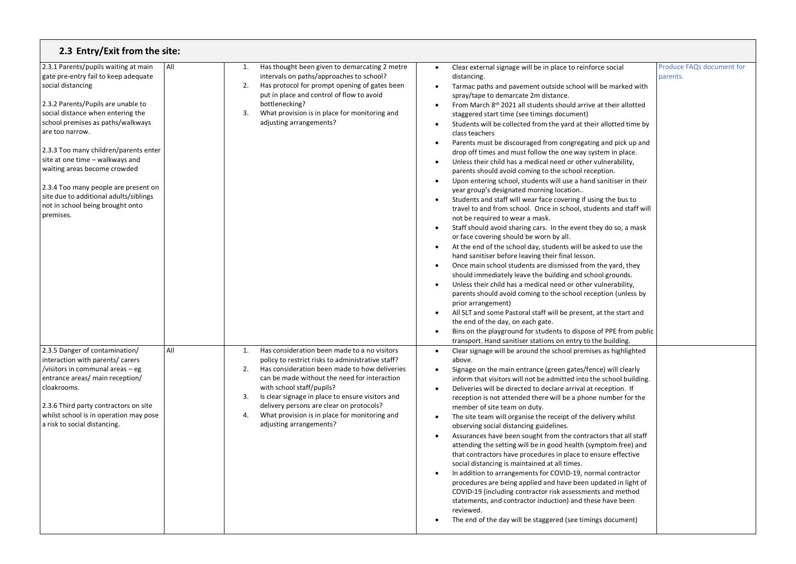| 2.3 Entry/Exit from the site:                                                                                                                                                                                                                                                                                                                                                                                                                                                       |     |                                                                                                                                                                                                                                                                                                                                                                                                                                     |                                                                                                                                                                                                                                                                                                                                                                                                                                                                                                                                                                                                                                                                                                                                                                                                                                                                                                                                                                                                                                                                                                                                                                                                                                                                                                                                                                                                                                                                                                                                                                                                                                                                                                                                                                                                                                                    |                                              |
|-------------------------------------------------------------------------------------------------------------------------------------------------------------------------------------------------------------------------------------------------------------------------------------------------------------------------------------------------------------------------------------------------------------------------------------------------------------------------------------|-----|-------------------------------------------------------------------------------------------------------------------------------------------------------------------------------------------------------------------------------------------------------------------------------------------------------------------------------------------------------------------------------------------------------------------------------------|----------------------------------------------------------------------------------------------------------------------------------------------------------------------------------------------------------------------------------------------------------------------------------------------------------------------------------------------------------------------------------------------------------------------------------------------------------------------------------------------------------------------------------------------------------------------------------------------------------------------------------------------------------------------------------------------------------------------------------------------------------------------------------------------------------------------------------------------------------------------------------------------------------------------------------------------------------------------------------------------------------------------------------------------------------------------------------------------------------------------------------------------------------------------------------------------------------------------------------------------------------------------------------------------------------------------------------------------------------------------------------------------------------------------------------------------------------------------------------------------------------------------------------------------------------------------------------------------------------------------------------------------------------------------------------------------------------------------------------------------------------------------------------------------------------------------------------------------------|----------------------------------------------|
| 2.3.1 Parents/pupils waiting at main<br>gate pre-entry fail to keep adequate<br>social distancing<br>2.3.2 Parents/Pupils are unable to<br>social distance when entering the<br>school premises as paths/walkways<br>are too narrow.<br>2.3.3 Too many children/parents enter<br>site at one time - walkways and<br>waiting areas become crowded<br>2.3.4 Too many people are present on<br>site due to additional adults/siblings<br>not in school being brought onto<br>premises. | All | Has thought been given to demarcating 2 metre<br>1.<br>intervals on paths/approaches to school?<br>2.<br>Has protocol for prompt opening of gates been<br>put in place and control of flow to avoid<br>bottlenecking?<br>3.<br>What provision is in place for monitoring and<br>adjusting arrangements?                                                                                                                             | Clear external signage will be in place to reinforce social<br>$\bullet$<br>distancing.<br>Tarmac paths and pavement outside school will be marked with<br>spray/tape to demarcate 2m distance.<br>From March 8th 2021 all students should arrive at their allotted<br>staggered start time (see timings document)<br>Students will be collected from the yard at their allotted time by<br>$\bullet$<br>class teachers<br>Parents must be discouraged from congregating and pick up and<br>$\bullet$<br>drop off times and must follow the one way system in place.<br>Unless their child has a medical need or other vulnerability,<br>$\bullet$<br>parents should avoid coming to the school reception.<br>Upon entering school, students will use a hand sanitiser in their<br>year group's designated morning location<br>Students and staff will wear face covering if using the bus to<br>$\bullet$<br>travel to and from school. Once in school, students and staff will<br>not be required to wear a mask.<br>Staff should avoid sharing cars. In the event they do so, a mask<br>or face covering should be worn by all.<br>At the end of the school day, students will be asked to use the<br>$\bullet$<br>hand sanitiser before leaving their final lesson.<br>Once main school students are dismissed from the yard, they<br>$\bullet$<br>should immediately leave the building and school grounds.<br>Unless their child has a medical need or other vulnerability,<br>$\bullet$<br>parents should avoid coming to the school reception (unless by<br>prior arrangement)<br>All SLT and some Pastoral staff will be present, at the start and<br>the end of the day, on each gate.<br>Bins on the playground for students to dispose of PPE from public<br>$\bullet$<br>transport. Hand sanitiser stations on entry to the building. | <b>Produce FAQs document for</b><br>parents. |
| 2.3.5 Danger of contamination/<br>interaction with parents/carers<br>/visitors in communal areas - eg<br>entrance areas/ main reception/<br>cloakrooms.<br>2.3.6 Third party contractors on site<br>whilst school is in operation may pose<br>a risk to social distancing.                                                                                                                                                                                                          | All | Has consideration been made to a no visitors<br>1.<br>policy to restrict risks to administrative staff?<br>2.<br>Has consideration been made to how deliveries<br>can be made without the need for interaction<br>with school staff/pupils?<br>3.<br>Is clear signage in place to ensure visitors and<br>delivery persons are clear on protocols?<br>What provision is in place for monitoring and<br>4.<br>adjusting arrangements? | Clear signage will be around the school premises as highlighted<br>$\bullet$<br>above.<br>Signage on the main entrance (green gates/fence) will clearly<br>inform that visitors will not be admitted into the school building.<br>Deliveries will be directed to declare arrival at reception. If<br>$\bullet$<br>reception is not attended there will be a phone number for the<br>member of site team on duty.<br>The site team will organise the receipt of the delivery whilst<br>$\bullet$<br>observing social distancing guidelines.<br>Assurances have been sought from the contractors that all staff<br>$\bullet$<br>attending the setting will be in good health (symptom free) and<br>that contractors have procedures in place to ensure effective<br>social distancing is maintained at all times.<br>In addition to arrangements for COVID-19, normal contractor<br>procedures are being applied and have been updated in light of<br>COVID-19 (including contractor risk assessments and method<br>statements, and contractor induction) and these have been<br>reviewed.<br>The end of the day will be staggered (see timings document)                                                                                                                                                                                                                                                                                                                                                                                                                                                                                                                                                                                                                                                                                            |                                              |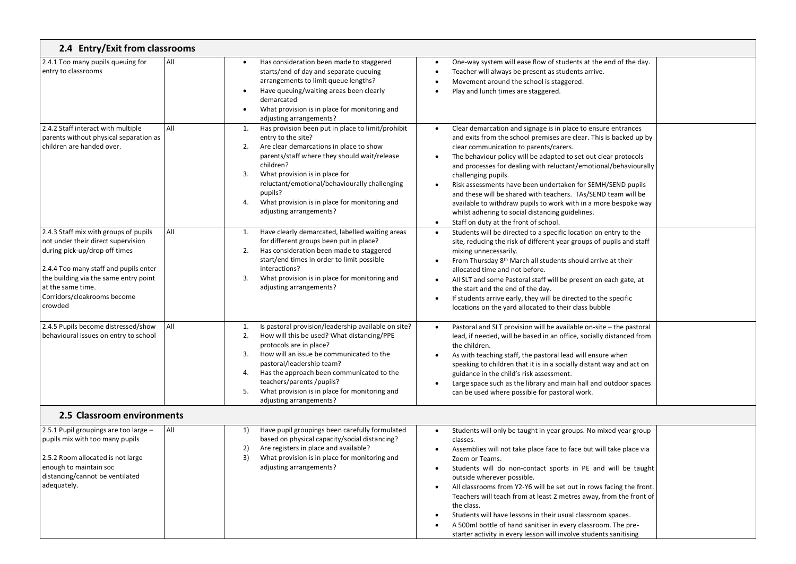| 2.4 Entry/Exit from classrooms                                                                                                                                                                                                                                |     |                                                                                                                                                                                                                                                                                                                                                                                          |                                                                                                                                                                                                                                                                                                                                                                                                                                                                                                                                                                                                                                                                                              |
|---------------------------------------------------------------------------------------------------------------------------------------------------------------------------------------------------------------------------------------------------------------|-----|------------------------------------------------------------------------------------------------------------------------------------------------------------------------------------------------------------------------------------------------------------------------------------------------------------------------------------------------------------------------------------------|----------------------------------------------------------------------------------------------------------------------------------------------------------------------------------------------------------------------------------------------------------------------------------------------------------------------------------------------------------------------------------------------------------------------------------------------------------------------------------------------------------------------------------------------------------------------------------------------------------------------------------------------------------------------------------------------|
| 2.4.1 Too many pupils queuing for<br>entry to classrooms                                                                                                                                                                                                      | All | Has consideration been made to staggered<br>$\bullet$<br>starts/end of day and separate queuing<br>arrangements to limit queue lengths?<br>Have queuing/waiting areas been clearly<br>$\bullet$<br>demarcated<br>What provision is in place for monitoring and<br>$\bullet$<br>adjusting arrangements?                                                                                   | One-way system will ease flow of students at the end of the day.<br>٠<br>Teacher will always be present as students arrive.<br>$\bullet$<br>Movement around the school is staggered.<br>$\bullet$<br>Play and lunch times are staggered.<br>$\bullet$                                                                                                                                                                                                                                                                                                                                                                                                                                        |
| 2.4.2 Staff interact with multiple<br>parents without physical separation as<br>children are handed over.                                                                                                                                                     | All | Has provision been put in place to limit/prohibit<br>1.<br>entry to the site?<br>Are clear demarcations in place to show<br>2.<br>parents/staff where they should wait/release<br>children?<br>3.<br>What provision is in place for<br>reluctant/emotional/behaviourally challenging<br>pupils?<br>What provision is in place for monitoring and<br>4.<br>adjusting arrangements?        | Clear demarcation and signage is in place to ensure entrances<br>$\bullet$<br>and exits from the school premises are clear. This is backed up by<br>clear communication to parents/carers.<br>The behaviour policy will be adapted to set out clear protocols<br>$\bullet$<br>and processes for dealing with reluctant/emotional/behaviourally<br>challenging pupils.<br>Risk assessments have been undertaken for SEMH/SEND pupils<br>and these will be shared with teachers. TAs/SEND team will be<br>available to withdraw pupils to work with in a more bespoke way<br>whilst adhering to social distancing guidelines.<br>Staff on duty at the front of school.<br>$\bullet$            |
| 2.4.3 Staff mix with groups of pupils<br>not under their direct supervision<br>during pick-up/drop off times<br>2.4.4 Too many staff and pupils enter<br>the building via the same entry point<br>at the same time.<br>Corridors/cloakrooms become<br>crowded | All | Have clearly demarcated, labelled waiting areas<br>1.<br>for different groups been put in place?<br>Has consideration been made to staggered<br>2.<br>start/end times in order to limit possible<br>interactions?<br>3.<br>What provision is in place for monitoring and<br>adjusting arrangements?                                                                                      | Students will be directed to a specific location on entry to the<br>$\bullet$<br>site, reducing the risk of different year groups of pupils and staff<br>mixing unnecessarily.<br>From Thursday 8 <sup>th</sup> March all students should arrive at their<br>$\bullet$<br>allocated time and not before.<br>All SLT and some Pastoral staff will be present on each gate, at<br>$\bullet$<br>the start and the end of the day.<br>If students arrive early, they will be directed to the specific<br>$\bullet$<br>locations on the yard allocated to their class bubble                                                                                                                      |
| 2.4.5 Pupils become distressed/show<br>behavioural issues on entry to school                                                                                                                                                                                  | All | Is pastoral provision/leadership available on site?<br>1.<br>2.<br>How will this be used? What distancing/PPE<br>protocols are in place?<br>How will an issue be communicated to the<br>3.<br>pastoral/leadership team?<br>Has the approach been communicated to the<br>4.<br>teachers/parents/pupils?<br>What provision is in place for monitoring and<br>5.<br>adjusting arrangements? | Pastoral and SLT provision will be available on-site - the pastoral<br>$\bullet$<br>lead, if needed, will be based in an office, socially distanced from<br>the children.<br>As with teaching staff, the pastoral lead will ensure when<br>speaking to children that it is in a socially distant way and act on<br>guidance in the child's risk assessment.<br>Large space such as the library and main hall and outdoor spaces<br>$\bullet$<br>can be used where possible for pastoral work.                                                                                                                                                                                                |
| 2.5 Classroom environments                                                                                                                                                                                                                                    |     |                                                                                                                                                                                                                                                                                                                                                                                          |                                                                                                                                                                                                                                                                                                                                                                                                                                                                                                                                                                                                                                                                                              |
| 2.5.1 Pupil groupings are too large -<br>pupils mix with too many pupils<br>2.5.2 Room allocated is not large<br>enough to maintain soc<br>distancing/cannot be ventilated<br>adequately.                                                                     | All | Have pupil groupings been carefully formulated<br>1)<br>based on physical capacity/social distancing?<br>Are registers in place and available?<br>2)<br>3)<br>What provision is in place for monitoring and<br>adjusting arrangements?                                                                                                                                                   | Students will only be taught in year groups. No mixed year group<br>$\bullet$<br>classes.<br>Assemblies will not take place face to face but will take place via<br>Zoom or Teams.<br>Students will do non-contact sports in PE and will be taught<br>٠<br>outside wherever possible.<br>All classrooms from Y2-Y6 will be set out in rows facing the front.<br>$\bullet$<br>Teachers will teach from at least 2 metres away, from the front of<br>the class.<br>Students will have lessons in their usual classroom spaces.<br>$\bullet$<br>A 500ml bottle of hand sanitiser in every classroom. The pre-<br>$\bullet$<br>starter activity in every lesson will involve students sanitising |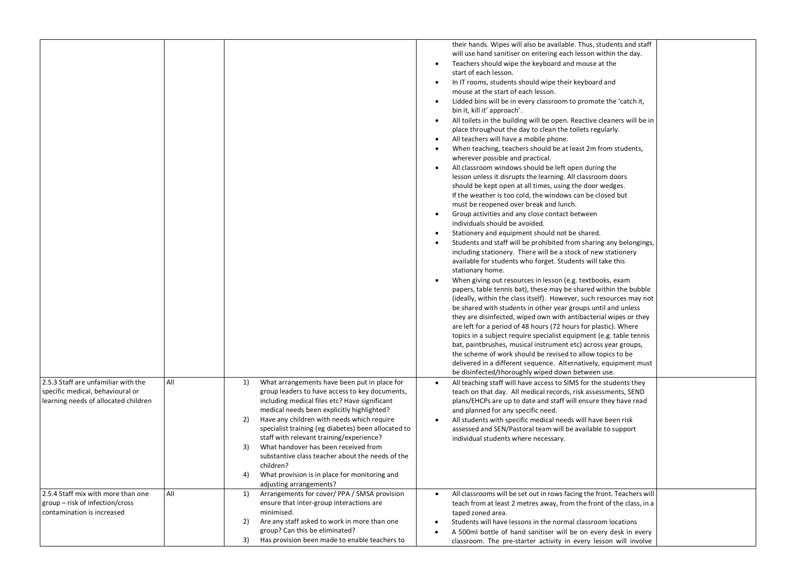| 2.5.3 Staff are unfamiliar with the<br>All<br>specific medical, behavioural or<br>learning needs of allocated children | What arrangements have been put in place for<br>1)<br>group leaders to have access to key documents,<br>including medical files etc? Have significant<br>medical needs been explicitly highlighted?<br>Have any children with needs which require<br>2)  | their hands. Wipes will also be available. Thus, students and staff<br>will use hand sanitiser on entering each lesson within the day.<br>Teachers should wipe the keyboard and mouse at the<br>$\bullet$<br>start of each lesson.<br>In IT rooms, students should wipe their keyboard and<br>$\bullet$<br>mouse at the start of each lesson.<br>Lidded bins will be in every classroom to promote the 'catch it,<br>$\bullet$<br>bin it, kill it' approach'.<br>All toilets in the building will be open. Reactive cleaners will be in<br>$\bullet$<br>place throughout the day to clean the toilets regularly.<br>All teachers will have a mobile phone.<br>$\bullet$<br>When teaching, teachers should be at least 2m from students,<br>$\bullet$<br>wherever possible and practical.<br>All classroom windows should be left open during the<br>$\bullet$<br>lesson unless it disrupts the learning. All classroom doors<br>should be kept open at all times, using the door wedges.<br>If the weather is too cold, the windows can be closed but<br>must be reopened over break and lunch.<br>Group activities and any close contact between<br>$\bullet$<br>individuals should be avoided.<br>Stationery and equipment should not be shared.<br>$\bullet$<br>Students and staff will be prohibited from sharing any belongings,<br>$\bullet$<br>including stationery. There will be a stock of new stationery<br>available for students who forget. Students will take this<br>stationary home.<br>When giving out resources in lesson (e.g. textbooks, exam<br>papers, table tennis bat), these may be shared within the bubble<br>(ideally, within the class itself). However, such resources may not<br>be shared with students in other year groups until and unless<br>they are disinfected, wiped own with antibacterial wipes or they<br>are left for a period of 48 hours (72 hours for plastic). Where<br>topics in a subject require specialist equipment (e.g. table tennis<br>bat, paintbrushes, musical instrument etc) across year groups,<br>the scheme of work should be revised to allow topics to be<br>delivered in a different sequence. Alternatively, equipment must<br>be disinfected/thoroughly wiped down between use.<br>All teaching staff will have access to SIMS for the students they<br>teach on that day. All medical records, risk assessments, SEND<br>plans/EHCPs are up to date and staff will ensure they have read<br>and planned for any specific need.<br>All students with specific medical needs will have been risk<br>$\bullet$ |
|------------------------------------------------------------------------------------------------------------------------|----------------------------------------------------------------------------------------------------------------------------------------------------------------------------------------------------------------------------------------------------------|------------------------------------------------------------------------------------------------------------------------------------------------------------------------------------------------------------------------------------------------------------------------------------------------------------------------------------------------------------------------------------------------------------------------------------------------------------------------------------------------------------------------------------------------------------------------------------------------------------------------------------------------------------------------------------------------------------------------------------------------------------------------------------------------------------------------------------------------------------------------------------------------------------------------------------------------------------------------------------------------------------------------------------------------------------------------------------------------------------------------------------------------------------------------------------------------------------------------------------------------------------------------------------------------------------------------------------------------------------------------------------------------------------------------------------------------------------------------------------------------------------------------------------------------------------------------------------------------------------------------------------------------------------------------------------------------------------------------------------------------------------------------------------------------------------------------------------------------------------------------------------------------------------------------------------------------------------------------------------------------------------------------------------------------------------------------------------------------------------------------------------------------------------------------------------------------------------------------------------------------------------------------------------------------------------------------------------------------------------------------------------------------------------------------------------------------------------------------------------------------------------------------------------------------------------------------------------|
|                                                                                                                        | specialist training (eg diabetes) been allocated to<br>staff with relevant training/experience?<br>What handover has been received from<br>3)<br>substantive class teacher about the needs of the                                                        | assessed and SEN/Pastoral team will be available to support<br>individual students where necessary.                                                                                                                                                                                                                                                                                                                                                                                                                                                                                                                                                                                                                                                                                                                                                                                                                                                                                                                                                                                                                                                                                                                                                                                                                                                                                                                                                                                                                                                                                                                                                                                                                                                                                                                                                                                                                                                                                                                                                                                                                                                                                                                                                                                                                                                                                                                                                                                                                                                                                |
|                                                                                                                        | children?<br>What provision is in place for monitoring and<br>4)<br>adjusting arrangements?                                                                                                                                                              |                                                                                                                                                                                                                                                                                                                                                                                                                                                                                                                                                                                                                                                                                                                                                                                                                                                                                                                                                                                                                                                                                                                                                                                                                                                                                                                                                                                                                                                                                                                                                                                                                                                                                                                                                                                                                                                                                                                                                                                                                                                                                                                                                                                                                                                                                                                                                                                                                                                                                                                                                                                    |
| All<br>2.5.4 Staff mix with more than one<br>group - risk of infection/cross<br>contamination is increased             | Arrangements for cover/PPA/SMSA provision<br>1)<br>ensure that inter-group interactions are<br>minimised.<br>Are any staff asked to work in more than one<br>2)<br>group? Can this be eliminated?<br>Has provision been made to enable teachers to<br>3) | All classrooms will be set out in rows facing the front. Teachers will<br>$\bullet$<br>teach from at least 2 metres away, from the front of the class, in a<br>taped zoned area.<br>Students will have lessons in the normal classroom locations<br>A 500ml bottle of hand sanitiser will be on every desk in every<br>classroom. The pre-starter activity in every lesson will involve                                                                                                                                                                                                                                                                                                                                                                                                                                                                                                                                                                                                                                                                                                                                                                                                                                                                                                                                                                                                                                                                                                                                                                                                                                                                                                                                                                                                                                                                                                                                                                                                                                                                                                                                                                                                                                                                                                                                                                                                                                                                                                                                                                                            |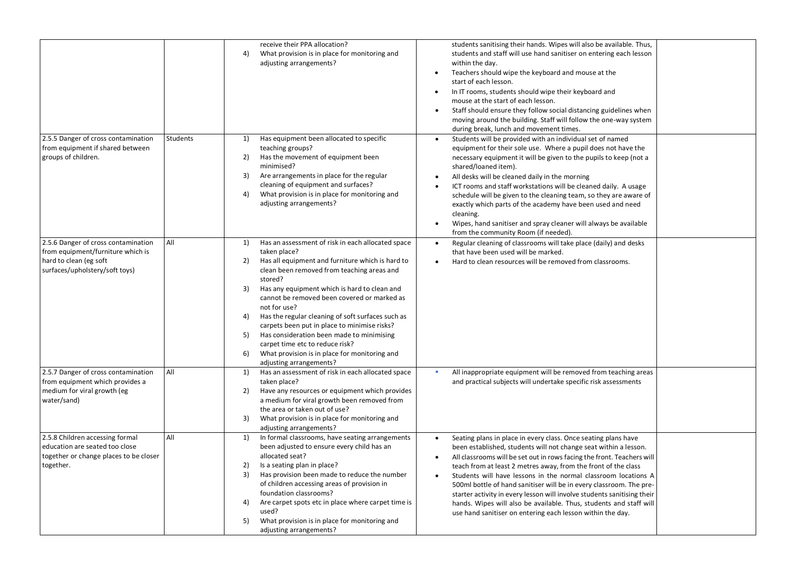|                                                                                                                                      |          | receive their PPA allocation?<br>4)<br>What provision is in place for monitoring and<br>adjusting arrangements?                                                                                                                                                                                                                                                                                                                                                                                                                                                                                    | students sanitising their hands. Wipes will also be available. Thus,<br>students and staff will use hand sanitiser on entering each lesson<br>within the day.<br>Teachers should wipe the keyboard and mouse at the<br>$\bullet$<br>start of each lesson.<br>In IT rooms, students should wipe their keyboard and<br>$\bullet$<br>mouse at the start of each lesson.<br>Staff should ensure they follow social distancing guidelines when<br>$\bullet$<br>moving around the building. Staff will follow the one-way system<br>during break, lunch and movement times.                                                                               |  |
|--------------------------------------------------------------------------------------------------------------------------------------|----------|----------------------------------------------------------------------------------------------------------------------------------------------------------------------------------------------------------------------------------------------------------------------------------------------------------------------------------------------------------------------------------------------------------------------------------------------------------------------------------------------------------------------------------------------------------------------------------------------------|-----------------------------------------------------------------------------------------------------------------------------------------------------------------------------------------------------------------------------------------------------------------------------------------------------------------------------------------------------------------------------------------------------------------------------------------------------------------------------------------------------------------------------------------------------------------------------------------------------------------------------------------------------|--|
| 2.5.5 Danger of cross contamination<br>from equipment if shared between<br>groups of children.                                       | Students | Has equipment been allocated to specific<br>1)<br>teaching groups?<br>Has the movement of equipment been<br>2)<br>minimised?<br>Are arrangements in place for the regular<br>3)<br>cleaning of equipment and surfaces?<br>What provision is in place for monitoring and<br>4)<br>adjusting arrangements?                                                                                                                                                                                                                                                                                           | Students will be provided with an individual set of named<br>equipment for their sole use. Where a pupil does not have the<br>necessary equipment it will be given to the pupils to keep (not a<br>shared/loaned item).<br>All desks will be cleaned daily in the morning<br>ICT rooms and staff workstations will be cleaned daily. A usage<br>schedule will be given to the cleaning team, so they are aware of<br>exactly which parts of the academy have been used and need<br>cleaning.<br>Wipes, hand sanitiser and spray cleaner will always be available<br>from the community Room (if needed).                                            |  |
| 2.5.6 Danger of cross contamination<br>from equipment/furniture which is<br>hard to clean (eg soft<br>surfaces/upholstery/soft toys) | All      | Has an assessment of risk in each allocated space<br>1)<br>taken place?<br>Has all equipment and furniture which is hard to<br>2)<br>clean been removed from teaching areas and<br>stored?<br>3)<br>Has any equipment which is hard to clean and<br>cannot be removed been covered or marked as<br>not for use?<br>Has the regular cleaning of soft surfaces such as<br>4)<br>carpets been put in place to minimise risks?<br>Has consideration been made to minimising<br>5)<br>carpet time etc to reduce risk?<br>What provision is in place for monitoring and<br>6)<br>adjusting arrangements? | Regular cleaning of classrooms will take place (daily) and desks<br>that have been used will be marked.<br>Hard to clean resources will be removed from classrooms.                                                                                                                                                                                                                                                                                                                                                                                                                                                                                 |  |
| 2.5.7 Danger of cross contamination<br>from equipment which provides a<br>medium for viral growth (eg<br>water/sand)                 | All      | Has an assessment of risk in each allocated space<br>1)<br>taken place?<br>Have any resources or equipment which provides<br>2)<br>a medium for viral growth been removed from<br>the area or taken out of use?<br>What provision is in place for monitoring and<br>3)<br>adjusting arrangements?                                                                                                                                                                                                                                                                                                  | All inappropriate equipment will be removed from teaching areas<br>and practical subjects will undertake specific risk assessments                                                                                                                                                                                                                                                                                                                                                                                                                                                                                                                  |  |
| 2.5.8 Children accessing formal<br>education are seated too close<br>together or change places to be closer<br>together.             | All      | In formal classrooms, have seating arrangements<br>1)<br>been adjusted to ensure every child has an<br>allocated seat?<br>2)<br>Is a seating plan in place?<br>3)<br>Has provision been made to reduce the number<br>of children accessing areas of provision in<br>foundation classrooms?<br>Are carpet spots etc in place where carpet time is<br>4)<br>used?<br>What provision is in place for monitoring and<br>5)<br>adjusting arrangements?                                                                                                                                                  | Seating plans in place in every class. Once seating plans have<br>been established, students will not change seat within a lesson.<br>All classrooms will be set out in rows facing the front. Teachers will<br>$\bullet$<br>teach from at least 2 metres away, from the front of the class<br>Students will have lessons in the normal classroom locations A<br>500ml bottle of hand sanitiser will be in every classroom. The pre-<br>starter activity in every lesson will involve students sanitising their<br>hands. Wipes will also be available. Thus, students and staff will<br>use hand sanitiser on entering each lesson within the day. |  |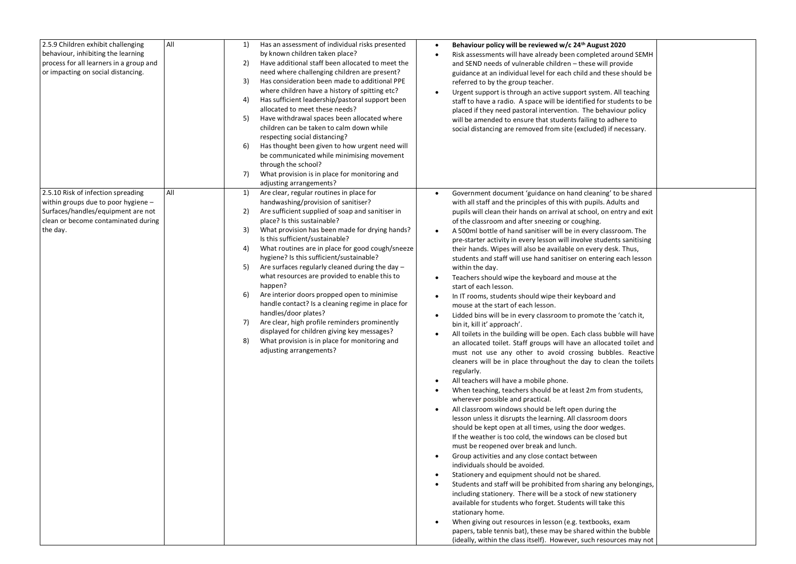| All<br>2.5.9 Children exhibit challenging<br>behaviour, inhibiting the learning<br>process for all learners in a group and<br>or impacting on social distancing.          | Has an assessment of individual risks presented<br>1)<br>by known children taken place?<br>2)<br>Have additional staff been allocated to meet the<br>need where challenging children are present?<br>Has consideration been made to additional PPE<br>3)<br>where children have a history of spitting etc?<br>4)<br>Has sufficient leadership/pastoral support been<br>allocated to meet these needs?<br>5)<br>Have withdrawal spaces been allocated where<br>children can be taken to calm down while<br>respecting social distancing?<br>6)<br>Has thought been given to how urgent need will<br>be communicated while minimising movement<br>through the school?<br>7)<br>What provision is in place for monitoring and<br>adjusting arrangements?                                                                          | Behaviour policy will be reviewed w/c 24 <sup>th</sup> August 2020<br>٠<br>Risk assessments will have already been completed around SEMH<br>$\bullet$<br>and SEND needs of vulnerable children - these will provide<br>guidance at an individual level for each child and these should be<br>referred to by the group teacher.<br>Urgent support is through an active support system. All teaching<br>$\bullet$<br>staff to have a radio. A space will be identified for students to be<br>placed if they need pastoral intervention. The behaviour policy<br>will be amended to ensure that students failing to adhere to<br>social distancing are removed from site (excluded) if necessary.                                                                                                                                                                                                                                                                                                                                                                                                                                                                                                                                                                                                                                                                                                                                                                                                                                                                                                                                                                                                                                                                                                                                                                                                                                                                                                                                                                                                                                                                                                                                                                                                                                     |
|---------------------------------------------------------------------------------------------------------------------------------------------------------------------------|--------------------------------------------------------------------------------------------------------------------------------------------------------------------------------------------------------------------------------------------------------------------------------------------------------------------------------------------------------------------------------------------------------------------------------------------------------------------------------------------------------------------------------------------------------------------------------------------------------------------------------------------------------------------------------------------------------------------------------------------------------------------------------------------------------------------------------|------------------------------------------------------------------------------------------------------------------------------------------------------------------------------------------------------------------------------------------------------------------------------------------------------------------------------------------------------------------------------------------------------------------------------------------------------------------------------------------------------------------------------------------------------------------------------------------------------------------------------------------------------------------------------------------------------------------------------------------------------------------------------------------------------------------------------------------------------------------------------------------------------------------------------------------------------------------------------------------------------------------------------------------------------------------------------------------------------------------------------------------------------------------------------------------------------------------------------------------------------------------------------------------------------------------------------------------------------------------------------------------------------------------------------------------------------------------------------------------------------------------------------------------------------------------------------------------------------------------------------------------------------------------------------------------------------------------------------------------------------------------------------------------------------------------------------------------------------------------------------------------------------------------------------------------------------------------------------------------------------------------------------------------------------------------------------------------------------------------------------------------------------------------------------------------------------------------------------------------------------------------------------------------------------------------------------------|
| All<br>2.5.10 Risk of infection spreading<br>within groups due to poor hygiene -<br>Surfaces/handles/equipment are not<br>clean or become contaminated during<br>the day. | Are clear, regular routines in place for<br>1)<br>handwashing/provision of sanitiser?<br>Are sufficient supplied of soap and sanitiser in<br>2)<br>place? Is this sustainable?<br>3)<br>What provision has been made for drying hands?<br>Is this sufficient/sustainable?<br>4)<br>What routines are in place for good cough/sneeze<br>hygiene? Is this sufficient/sustainable?<br>5)<br>Are surfaces regularly cleaned during the day -<br>what resources are provided to enable this to<br>happen?<br>6)<br>Are interior doors propped open to minimise<br>handle contact? Is a cleaning regime in place for<br>handles/door plates?<br>Are clear, high profile reminders prominently<br>7)<br>displayed for children giving key messages?<br>What provision is in place for monitoring and<br>8)<br>adjusting arrangements? | Government document 'guidance on hand cleaning' to be shared<br>$\bullet$<br>with all staff and the principles of this with pupils. Adults and<br>pupils will clean their hands on arrival at school, on entry and exit<br>of the classroom and after sneezing or coughing.<br>A 500ml bottle of hand sanitiser will be in every classroom. The<br>$\bullet$<br>pre-starter activity in every lesson will involve students sanitising<br>their hands. Wipes will also be available on every desk. Thus,<br>students and staff will use hand sanitiser on entering each lesson<br>within the day.<br>Teachers should wipe the keyboard and mouse at the<br>$\bullet$<br>start of each lesson.<br>In IT rooms, students should wipe their keyboard and<br>$\bullet$<br>mouse at the start of each lesson.<br>Lidded bins will be in every classroom to promote the 'catch it,<br>$\bullet$<br>bin it, kill it' approach'.<br>All toilets in the building will be open. Each class bubble will have<br>$\bullet$<br>an allocated toilet. Staff groups will have an allocated toilet and<br>must not use any other to avoid crossing bubbles. Reactive<br>cleaners will be in place throughout the day to clean the toilets<br>regularly.<br>All teachers will have a mobile phone.<br>$\bullet$<br>When teaching, teachers should be at least 2m from students,<br>$\bullet$<br>wherever possible and practical.<br>All classroom windows should be left open during the<br>$\bullet$<br>lesson unless it disrupts the learning. All classroom doors<br>should be kept open at all times, using the door wedges.<br>If the weather is too cold, the windows can be closed but<br>must be reopened over break and lunch.<br>Group activities and any close contact between<br>$\bullet$<br>individuals should be avoided.<br>Stationery and equipment should not be shared.<br>$\bullet$<br>Students and staff will be prohibited from sharing any belongings,<br>including stationery. There will be a stock of new stationery<br>available for students who forget. Students will take this<br>stationary home.<br>When giving out resources in lesson (e.g. textbooks, exam<br>$\bullet$<br>papers, table tennis bat), these may be shared within the bubble<br>(ideally, within the class itself). However, such resources may not |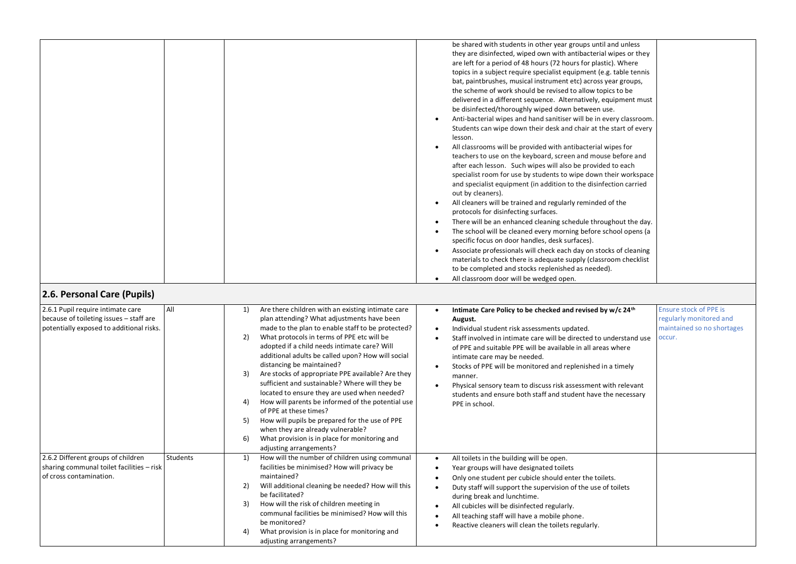| 2.6. Personal Care (Pupils)                                                                                |          |                                                                                                                                                                                                                                                                                                                                                                                                                                                                                                                                                                                                                                                                                                                        | be shared with students in other year groups until and unless<br>they are disinfected, wiped own with antibacterial wipes or they<br>are left for a period of 48 hours (72 hours for plastic). Where<br>topics in a subject require specialist equipment (e.g. table tennis<br>bat, paintbrushes, musical instrument etc) across year groups,<br>the scheme of work should be revised to allow topics to be<br>delivered in a different sequence. Alternatively, equipment must<br>be disinfected/thoroughly wiped down between use.<br>Anti-bacterial wipes and hand sanitiser will be in every classroom.<br>Students can wipe down their desk and chair at the start of every<br>lesson.<br>All classrooms will be provided with antibacterial wipes for<br>teachers to use on the keyboard, screen and mouse before and<br>after each lesson. Such wipes will also be provided to each<br>specialist room for use by students to wipe down their workspace<br>and specialist equipment (in addition to the disinfection carried<br>out by cleaners).<br>All cleaners will be trained and regularly reminded of the<br>protocols for disinfecting surfaces.<br>There will be an enhanced cleaning schedule throughout the day.<br>$\bullet$<br>The school will be cleaned every morning before school opens (a<br>specific focus on door handles, desk surfaces).<br>Associate professionals will check each day on stocks of cleaning<br>materials to check there is adequate supply (classroom checklist<br>to be completed and stocks replenished as needed).<br>All classroom door will be wedged open. |
|------------------------------------------------------------------------------------------------------------|----------|------------------------------------------------------------------------------------------------------------------------------------------------------------------------------------------------------------------------------------------------------------------------------------------------------------------------------------------------------------------------------------------------------------------------------------------------------------------------------------------------------------------------------------------------------------------------------------------------------------------------------------------------------------------------------------------------------------------------|----------------------------------------------------------------------------------------------------------------------------------------------------------------------------------------------------------------------------------------------------------------------------------------------------------------------------------------------------------------------------------------------------------------------------------------------------------------------------------------------------------------------------------------------------------------------------------------------------------------------------------------------------------------------------------------------------------------------------------------------------------------------------------------------------------------------------------------------------------------------------------------------------------------------------------------------------------------------------------------------------------------------------------------------------------------------------------------------------------------------------------------------------------------------------------------------------------------------------------------------------------------------------------------------------------------------------------------------------------------------------------------------------------------------------------------------------------------------------------------------------------------------------------------------------------------------------------------------------------------|
| 2.6.1 Pupil require intimate care                                                                          | All      | Are there children with an existing intimate care<br>1)                                                                                                                                                                                                                                                                                                                                                                                                                                                                                                                                                                                                                                                                | <b>Ensure stock of PPE is</b><br>Intimate Care Policy to be checked and revised by w/c 24 <sup>th</sup><br>$\bullet$                                                                                                                                                                                                                                                                                                                                                                                                                                                                                                                                                                                                                                                                                                                                                                                                                                                                                                                                                                                                                                                                                                                                                                                                                                                                                                                                                                                                                                                                                           |
| because of toileting issues - staff are<br>potentially exposed to additional risks.                        |          | plan attending? What adjustments have been<br>made to the plan to enable staff to be protected?<br>What protocols in terms of PPE etc will be<br>2)<br>adopted if a child needs intimate care? Will<br>additional adults be called upon? How will social<br>distancing be maintained?<br>3)<br>Are stocks of appropriate PPE available? Are they<br>sufficient and sustainable? Where will they be<br>located to ensure they are used when needed?<br>How will parents be informed of the potential use<br>4)<br>of PPE at these times?<br>How will pupils be prepared for the use of PPE<br>5)<br>when they are already vulnerable?<br>What provision is in place for monitoring and<br>6)<br>adjusting arrangements? | regularly monitored and<br>August.<br>maintained so no shortages<br>Individual student risk assessments updated.<br>occur.<br>Staff involved in intimate care will be directed to understand use<br>of PPE and suitable PPE will be available in all areas where<br>intimate care may be needed.<br>Stocks of PPE will be monitored and replenished in a timely<br>$\bullet$<br>manner.<br>Physical sensory team to discuss risk assessment with relevant<br>students and ensure both staff and student have the necessary<br>PPE in school.                                                                                                                                                                                                                                                                                                                                                                                                                                                                                                                                                                                                                                                                                                                                                                                                                                                                                                                                                                                                                                                                   |
| 2.6.2 Different groups of children<br>sharing communal toilet facilities - risk<br>of cross contamination. | Students | 1)<br>How will the number of children using communal<br>facilities be minimised? How will privacy be<br>maintained?<br>Will additional cleaning be needed? How will this<br>2)<br>be facilitated?<br>How will the risk of children meeting in<br>3)<br>communal facilities be minimised? How will this<br>be monitored?<br>What provision is in place for monitoring and<br>4)<br>adjusting arrangements?                                                                                                                                                                                                                                                                                                              | All toilets in the building will be open.<br>Year groups will have designated toilets<br>٠<br>Only one student per cubicle should enter the toilets.<br>Duty staff will support the supervision of the use of toilets<br>during break and lunchtime.<br>All cubicles will be disinfected regularly.<br>All teaching staff will have a mobile phone.<br>Reactive cleaners will clean the toilets regularly.<br>٠                                                                                                                                                                                                                                                                                                                                                                                                                                                                                                                                                                                                                                                                                                                                                                                                                                                                                                                                                                                                                                                                                                                                                                                                |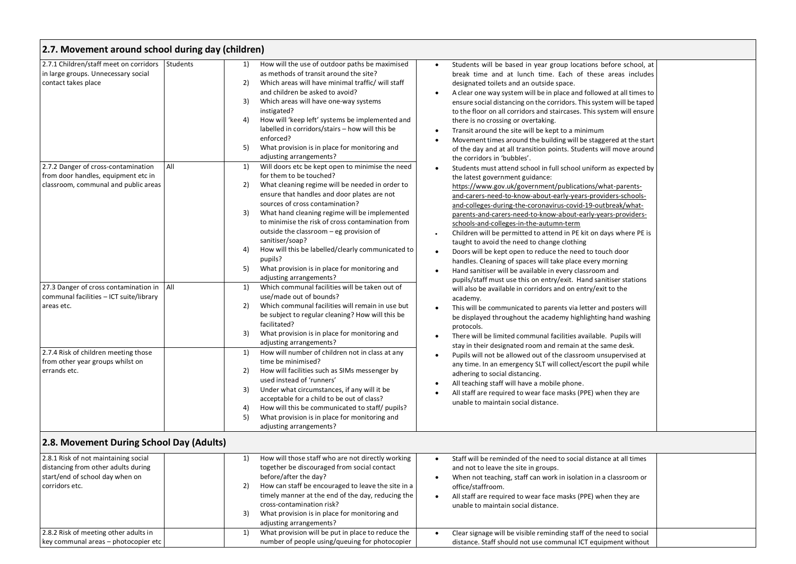| 2.7. Movement around school during day (children)                                                                                |                                        |                                                                                                                                                                                                                                                                                                                                                                                                                                                                                                                                 |                                                                                                                                                                                                                                                                                                                                                                                                                                                                                                                                                                                                                                                                                                                                                                                                                    |
|----------------------------------------------------------------------------------------------------------------------------------|----------------------------------------|---------------------------------------------------------------------------------------------------------------------------------------------------------------------------------------------------------------------------------------------------------------------------------------------------------------------------------------------------------------------------------------------------------------------------------------------------------------------------------------------------------------------------------|--------------------------------------------------------------------------------------------------------------------------------------------------------------------------------------------------------------------------------------------------------------------------------------------------------------------------------------------------------------------------------------------------------------------------------------------------------------------------------------------------------------------------------------------------------------------------------------------------------------------------------------------------------------------------------------------------------------------------------------------------------------------------------------------------------------------|
| 2.7.1 Children/staff meet on corridors<br>in large groups. Unnecessary social<br>contact takes place                             | Students<br>1)<br>2)<br>3)<br>4)<br>5) | How will the use of outdoor paths be maximised<br>as methods of transit around the site?<br>Which areas will have minimal traffic/ will staff<br>and children be asked to avoid?<br>Which areas will have one-way systems<br>instigated?<br>How will 'keep left' systems be implemented and<br>labelled in corridors/stairs - how will this be<br>enforced?<br>What provision is in place for monitoring and<br>adjusting arrangements?                                                                                         | Students will be based in year group locations before school, at<br>$\bullet$<br>break time and at lunch time. Each of these areas includes<br>designated toilets and an outside space.<br>A clear one way system will be in place and followed at all times to<br>$\bullet$<br>ensure social distancing on the corridors. This system will be taped<br>to the floor on all corridors and staircases. This system will ensure<br>there is no crossing or overtaking.<br>Transit around the site will be kept to a minimum<br>$\bullet$<br>Movement times around the building will be staggered at the start<br>of the day and at all transition points. Students will move around<br>the corridors in 'bubbles'.                                                                                                   |
| 2.7.2 Danger of cross-contamination<br>from door handles, equipment etc in<br>classroom, communal and public areas               | All<br>1)<br>2)<br>3)<br>4)<br>5)      | Will doors etc be kept open to minimise the need<br>for them to be touched?<br>What cleaning regime will be needed in order to<br>ensure that handles and door plates are not<br>sources of cross contamination?<br>What hand cleaning regime will be implemented<br>to minimise the risk of cross contamination from<br>outside the classroom – eg provision of<br>sanitiser/soap?<br>How will this be labelled/clearly communicated to<br>pupils?<br>What provision is in place for monitoring and<br>adjusting arrangements? | Students must attend school in full school uniform as expected by<br>$\bullet$<br>the latest government guidance:<br>https://www.gov.uk/government/publications/what-parents-<br>and-carers-need-to-know-about-early-years-providers-schools-<br>and-colleges-during-the-coronavirus-covid-19-outbreak/what-<br>parents-and-carers-need-to-know-about-early-years-providers-<br>schools-and-colleges-in-the-autumn-term<br>Children will be permitted to attend in PE kit on days where PE is<br>taught to avoid the need to change clothing<br>Doors will be kept open to reduce the need to touch door<br>$\bullet$<br>handles. Cleaning of spaces will take place every morning<br>Hand sanitiser will be available in every classroom and<br>pupils/staff must use this on entry/exit. Hand sanitiser stations |
| 27.3 Danger of cross contamination in<br>communal facilities - ICT suite/library<br>areas etc.                                   | All<br>1)<br>2)<br>3)                  | Which communal facilities will be taken out of<br>use/made out of bounds?<br>Which communal facilities will remain in use but<br>be subject to regular cleaning? How will this be<br>facilitated?<br>What provision is in place for monitoring and<br>adjusting arrangements?                                                                                                                                                                                                                                                   | will also be available in corridors and on entry/exit to the<br>academy.<br>This will be communicated to parents via letter and posters will<br>$\bullet$<br>be displayed throughout the academy highlighting hand washing<br>protocols.<br>There will be limited communal facilities available. Pupils will<br>$\bullet$<br>stay in their designated room and remain at the same desk.                                                                                                                                                                                                                                                                                                                                                                                                                            |
| 2.7.4 Risk of children meeting those<br>from other year groups whilst on<br>errands etc.                                         | 1)<br>2)<br>3)<br>4)<br>5)             | How will number of children not in class at any<br>time be minimised?<br>How will facilities such as SIMs messenger by<br>used instead of 'runners'<br>Under what circumstances, if any will it be<br>acceptable for a child to be out of class?<br>How will this be communicated to staff/ pupils?<br>What provision is in place for monitoring and<br>adjusting arrangements?                                                                                                                                                 | Pupils will not be allowed out of the classroom unsupervised at<br>$\bullet$<br>any time. In an emergency SLT will collect/escort the pupil while<br>adhering to social distancing.<br>All teaching staff will have a mobile phone.<br>$\bullet$<br>All staff are required to wear face masks (PPE) when they are<br>unable to maintain social distance.                                                                                                                                                                                                                                                                                                                                                                                                                                                           |
| 2.8. Movement During School Day (Adults)                                                                                         |                                        |                                                                                                                                                                                                                                                                                                                                                                                                                                                                                                                                 |                                                                                                                                                                                                                                                                                                                                                                                                                                                                                                                                                                                                                                                                                                                                                                                                                    |
| 2.8.1 Risk of not maintaining social<br>distancing from other adults during<br>start/end of school day when on<br>corridors etc. | 1)<br>2)<br>3)                         | How will those staff who are not directly working<br>together be discouraged from social contact<br>before/after the day?<br>How can staff be encouraged to leave the site in a<br>timely manner at the end of the day, reducing the<br>cross-contamination risk?<br>What provision is in place for monitoring and<br>adjusting arrangements?                                                                                                                                                                                   | Staff will be reminded of the need to social distance at all times<br>$\bullet$<br>and not to leave the site in groups.<br>When not teaching, staff can work in isolation in a classroom or<br>٠<br>office/staffroom.<br>All staff are required to wear face masks (PPE) when they are<br>$\bullet$<br>unable to maintain social distance.                                                                                                                                                                                                                                                                                                                                                                                                                                                                         |
| 2.8.2 Risk of meeting other adults in<br>key communal areas - photocopier etc                                                    | 1)                                     | What provision will be put in place to reduce the<br>number of people using/queuing for photocopier                                                                                                                                                                                                                                                                                                                                                                                                                             | Clear signage will be visible reminding staff of the need to social<br>$\bullet$<br>distance. Staff should not use communal ICT equipment without                                                                                                                                                                                                                                                                                                                                                                                                                                                                                                                                                                                                                                                                  |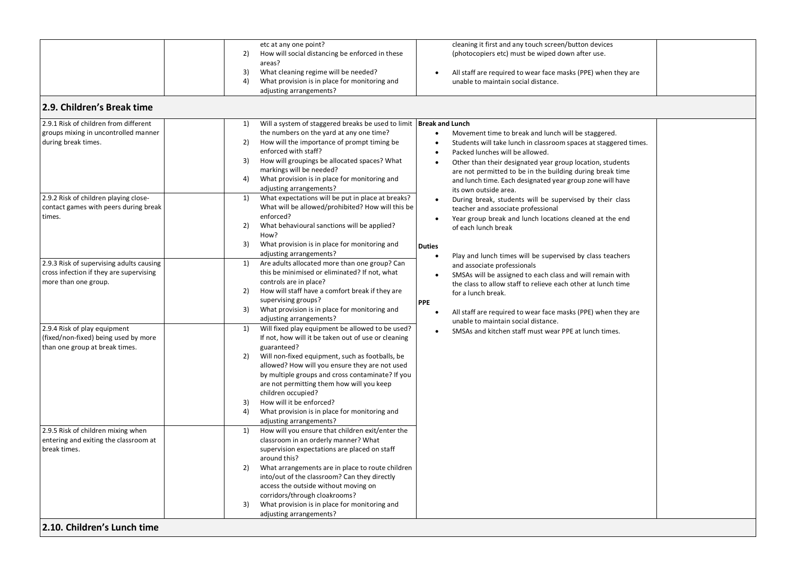|                                          | etc at any one point?                                                      | cleaning it first and any touch screen/button devices                         |
|------------------------------------------|----------------------------------------------------------------------------|-------------------------------------------------------------------------------|
|                                          | How will social distancing be enforced in these<br>2)                      | (photocopiers etc) must be wiped down after use.                              |
|                                          | areas?                                                                     |                                                                               |
|                                          | 3)<br>What cleaning regime will be needed?                                 | All staff are required to wear face masks (PPE) when they are<br>$\bullet$    |
|                                          | 4)<br>What provision is in place for monitoring and                        | unable to maintain social distance.                                           |
|                                          |                                                                            |                                                                               |
|                                          | adjusting arrangements?                                                    |                                                                               |
| 2.9. Children's Break time               |                                                                            |                                                                               |
|                                          |                                                                            |                                                                               |
| 2.9.1 Risk of children from different    | Will a system of staggered breaks be used to limit   Break and Lunch<br>1) |                                                                               |
|                                          |                                                                            |                                                                               |
| groups mixing in uncontrolled manner     | the numbers on the yard at any one time?                                   | Movement time to break and lunch will be staggered.<br>$\bullet$              |
| during break times.                      | How will the importance of prompt timing be<br>2)                          | Students will take lunch in classroom spaces at staggered times.<br>$\bullet$ |
|                                          | enforced with staff?                                                       | Packed lunches will be allowed.<br>$\bullet$                                  |
|                                          | 3)<br>How will groupings be allocated spaces? What                         | Other than their designated year group location, students<br>$\bullet$        |
|                                          | markings will be needed?                                                   | are not permitted to be in the building during break time                     |
|                                          | What provision is in place for monitoring and<br>4)                        | and lunch time. Each designated year group zone will have                     |
|                                          | adjusting arrangements?                                                    |                                                                               |
| 2.9.2 Risk of children playing close-    | What expectations will be put in place at breaks?<br>1)                    | its own outside area.                                                         |
| contact games with peers during break    | What will be allowed/prohibited? How will this be                          | During break, students will be supervised by their class<br>$\bullet$         |
|                                          |                                                                            | teacher and associate professional                                            |
| times.                                   | enforced?                                                                  | Year group break and lunch locations cleaned at the end<br>$\bullet$          |
|                                          | 2)<br>What behavioural sanctions will be applied?                          | of each lunch break                                                           |
|                                          | How?                                                                       |                                                                               |
|                                          | 3)<br>What provision is in place for monitoring and                        | <b>Duties</b>                                                                 |
|                                          | adjusting arrangements?                                                    | Play and lunch times will be supervised by class teachers<br>$\bullet$        |
| 2.9.3 Risk of supervising adults causing | Are adults allocated more than one group? Can<br>1)                        | and associate professionals                                                   |
| cross infection if they are supervising  | this be minimised or eliminated? If not, what                              | SMSAs will be assigned to each class and will remain with<br>$\bullet$        |
| more than one group.                     | controls are in place?                                                     |                                                                               |
|                                          | How will staff have a comfort break if they are<br>2)                      | the class to allow staff to relieve each other at lunch time                  |
|                                          | supervising groups?                                                        | for a lunch break.                                                            |
|                                          |                                                                            | <b>PPE</b>                                                                    |
|                                          | 3)<br>What provision is in place for monitoring and                        | $\bullet$<br>All staff are required to wear face masks (PPE) when they are    |
|                                          | adjusting arrangements?                                                    | unable to maintain social distance.                                           |
| 2.9.4 Risk of play equipment             | Will fixed play equipment be allowed to be used?<br>1)                     | SMSAs and kitchen staff must wear PPE at lunch times.<br>$\bullet$            |
| (fixed/non-fixed) being used by more     | If not, how will it be taken out of use or cleaning                        |                                                                               |
| than one group at break times.           | guaranteed?                                                                |                                                                               |
|                                          | 2)<br>Will non-fixed equipment, such as footballs, be                      |                                                                               |
|                                          | allowed? How will you ensure they are not used                             |                                                                               |
|                                          | by multiple groups and cross contaminate? If you                           |                                                                               |
|                                          | are not permitting them how will you keep                                  |                                                                               |
|                                          | children occupied?                                                         |                                                                               |
|                                          | 3)<br>How will it be enforced?                                             |                                                                               |
|                                          | 4)                                                                         |                                                                               |
|                                          | What provision is in place for monitoring and                              |                                                                               |
|                                          | adjusting arrangements?                                                    |                                                                               |
| 2.9.5 Risk of children mixing when       | How will you ensure that children exit/enter the<br>1)                     |                                                                               |
| entering and exiting the classroom at    | classroom in an orderly manner? What                                       |                                                                               |
| break times.                             | supervision expectations are placed on staff                               |                                                                               |
|                                          | around this?                                                               |                                                                               |
|                                          | 2)<br>What arrangements are in place to route children                     |                                                                               |
|                                          | into/out of the classroom? Can they directly                               |                                                                               |
|                                          | access the outside without moving on                                       |                                                                               |
|                                          |                                                                            |                                                                               |
|                                          |                                                                            |                                                                               |
|                                          | corridors/through cloakrooms?                                              |                                                                               |
|                                          | What provision is in place for monitoring and<br>3)                        |                                                                               |
|                                          | adjusting arrangements?                                                    |                                                                               |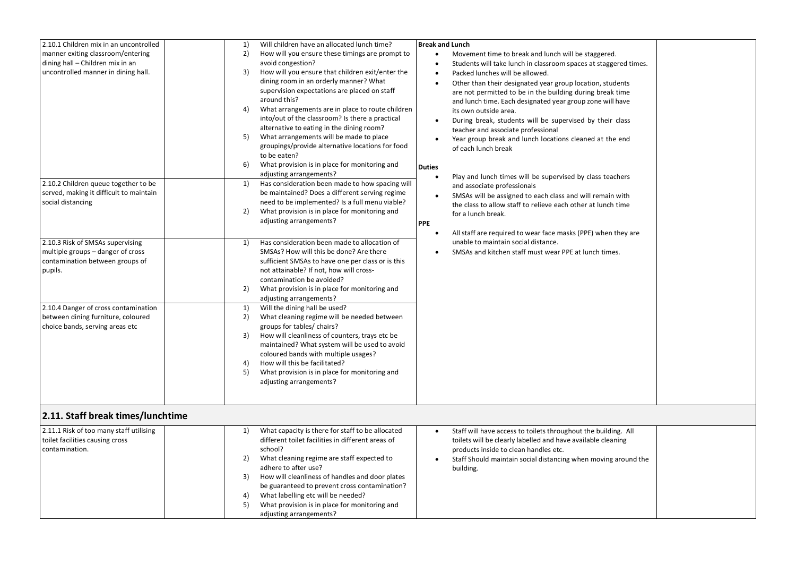| 2.10.1 Children mix in an uncontrolled<br>manner exiting classroom/entering<br>dining hall - Children mix in an<br>uncontrolled manner in dining hall.<br>2.10.2 Children queue together to be<br>served, making it difficult to maintain<br>social distancing<br>2.10.3 Risk of SMSAs supervising<br>multiple groups - danger of cross<br>contamination between groups of<br>pupils.<br>2.10.4 Danger of cross contamination<br>between dining furniture, coloured<br>choice bands, serving areas etc | 1)<br>2)<br>3)<br>4)<br>5)<br>6)<br>1)<br>2)<br>1)<br>2)<br>1)<br>2)<br>3)<br>4)<br>5) | Will children have an allocated lunch time?<br>How will you ensure these timings are prompt to<br>avoid congestion?<br>How will you ensure that children exit/enter the<br>dining room in an orderly manner? What<br>supervision expectations are placed on staff<br>around this?<br>What arrangements are in place to route children<br>into/out of the classroom? Is there a practical<br>alternative to eating in the dining room?<br>What arrangements will be made to place<br>groupings/provide alternative locations for food<br>to be eaten?<br>What provision is in place for monitoring and<br>adjusting arrangements?<br>Has consideration been made to how spacing will<br>be maintained? Does a different serving regime<br>need to be implemented? Is a full menu viable?<br>What provision is in place for monitoring and<br>adjusting arrangements?<br>Has consideration been made to allocation of<br>SMSAs? How will this be done? Are there<br>sufficient SMSAs to have one per class or is this<br>not attainable? If not, how will cross-<br>contamination be avoided?<br>What provision is in place for monitoring and<br>adjusting arrangements?<br>Will the dining hall be used?<br>What cleaning regime will be needed between<br>groups for tables/ chairs?<br>How will cleanliness of counters, trays etc be<br>maintained? What system will be used to avoid<br>coloured bands with multiple usages?<br>How will this be facilitated?<br>What provision is in place for monitoring and<br>adjusting arrangements? | <b>Break and Lunch</b><br>$\bullet$<br><b>Duties</b><br><b>PPE</b> | Movement time to break and lunch will be staggered.<br>Students will take lunch in classroom spaces at staggered times.<br>Packed lunches will be allowed.<br>Other than their designated year group location, students<br>are not permitted to be in the building during break time<br>and lunch time. Each designated year group zone will have<br>its own outside area.<br>During break, students will be supervised by their class<br>teacher and associate professional<br>Year group break and lunch locations cleaned at the end<br>of each lunch break<br>Play and lunch times will be supervised by class teachers<br>and associate professionals<br>SMSAs will be assigned to each class and will remain with<br>the class to allow staff to relieve each other at lunch time<br>for a lunch break.<br>All staff are required to wear face masks (PPE) when they are<br>unable to maintain social distance.<br>SMSAs and kitchen staff must wear PPE at lunch times. |  |
|--------------------------------------------------------------------------------------------------------------------------------------------------------------------------------------------------------------------------------------------------------------------------------------------------------------------------------------------------------------------------------------------------------------------------------------------------------------------------------------------------------|----------------------------------------------------------------------------------------|-----------------------------------------------------------------------------------------------------------------------------------------------------------------------------------------------------------------------------------------------------------------------------------------------------------------------------------------------------------------------------------------------------------------------------------------------------------------------------------------------------------------------------------------------------------------------------------------------------------------------------------------------------------------------------------------------------------------------------------------------------------------------------------------------------------------------------------------------------------------------------------------------------------------------------------------------------------------------------------------------------------------------------------------------------------------------------------------------------------------------------------------------------------------------------------------------------------------------------------------------------------------------------------------------------------------------------------------------------------------------------------------------------------------------------------------------------------------------------------------------------------------------------------------------|--------------------------------------------------------------------|--------------------------------------------------------------------------------------------------------------------------------------------------------------------------------------------------------------------------------------------------------------------------------------------------------------------------------------------------------------------------------------------------------------------------------------------------------------------------------------------------------------------------------------------------------------------------------------------------------------------------------------------------------------------------------------------------------------------------------------------------------------------------------------------------------------------------------------------------------------------------------------------------------------------------------------------------------------------------------|--|
| 2.11. Staff break times/lunchtime                                                                                                                                                                                                                                                                                                                                                                                                                                                                      |                                                                                        |                                                                                                                                                                                                                                                                                                                                                                                                                                                                                                                                                                                                                                                                                                                                                                                                                                                                                                                                                                                                                                                                                                                                                                                                                                                                                                                                                                                                                                                                                                                                               |                                                                    |                                                                                                                                                                                                                                                                                                                                                                                                                                                                                                                                                                                                                                                                                                                                                                                                                                                                                                                                                                                |  |
| 2.11.1 Risk of too many staff utilising<br>toilet facilities causing cross<br>contamination.                                                                                                                                                                                                                                                                                                                                                                                                           | 1)<br>2)<br>3)                                                                         | What capacity is there for staff to be allocated<br>different toilet facilities in different areas of<br>school?<br>What cleaning regime are staff expected to<br>adhere to after use?<br>How will cleanliness of handles and door plates<br>be guaranteed to prevent cross contamination?                                                                                                                                                                                                                                                                                                                                                                                                                                                                                                                                                                                                                                                                                                                                                                                                                                                                                                                                                                                                                                                                                                                                                                                                                                                    | $\bullet$                                                          | Staff will have access to toilets throughout the building. All<br>toilets will be clearly labelled and have available cleaning<br>products inside to clean handles etc.<br>Staff Should maintain social distancing when moving around the<br>building.                                                                                                                                                                                                                                                                                                                                                                                                                                                                                                                                                                                                                                                                                                                         |  |

4) What labelling etc will be needed? 5) What provision is in place for monitoring and

adjusting arrangements?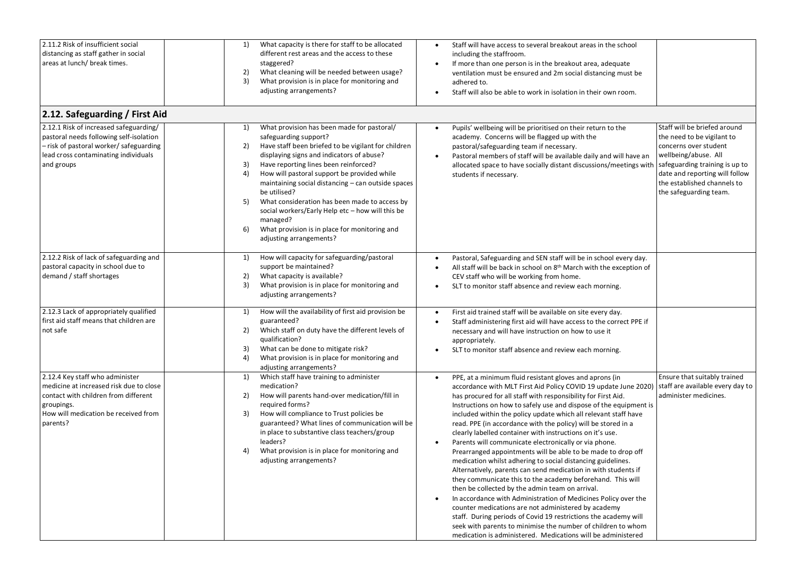| 2.11.2 Risk of insufficient social<br>distancing as staff gather in social<br>areas at lunch/ break times.                                                                                                          | 1)<br>What capacity is there for staff to be allocated<br>different rest areas and the access to these<br>staggered?<br>What cleaning will be needed between usage?<br>2)<br>3)<br>What provision is in place for monitoring and<br>adjusting arrangements?                                                                                                                                                                                                                                                                                                            | Staff will have access to several breakout areas in the school<br>$\bullet$<br>including the staffroom.<br>If more than one person is in the breakout area, adequate<br>ventilation must be ensured and 2m social distancing must be<br>adhered to.<br>Staff will also be able to work in isolation in their own room.                                                                                                                                                                                                                                                                                                                                                                                                                                                                                                                                                                                                                                                                                                                                                                                                                                                                |                                                                                                                                                                                                                                          |
|---------------------------------------------------------------------------------------------------------------------------------------------------------------------------------------------------------------------|------------------------------------------------------------------------------------------------------------------------------------------------------------------------------------------------------------------------------------------------------------------------------------------------------------------------------------------------------------------------------------------------------------------------------------------------------------------------------------------------------------------------------------------------------------------------|---------------------------------------------------------------------------------------------------------------------------------------------------------------------------------------------------------------------------------------------------------------------------------------------------------------------------------------------------------------------------------------------------------------------------------------------------------------------------------------------------------------------------------------------------------------------------------------------------------------------------------------------------------------------------------------------------------------------------------------------------------------------------------------------------------------------------------------------------------------------------------------------------------------------------------------------------------------------------------------------------------------------------------------------------------------------------------------------------------------------------------------------------------------------------------------|------------------------------------------------------------------------------------------------------------------------------------------------------------------------------------------------------------------------------------------|
| 2.12. Safeguarding / First Aid<br>2.12.1 Risk of increased safeguarding/<br>pastoral needs following self-isolation<br>- risk of pastoral worker/safeguarding<br>lead cross contaminating individuals<br>and groups | What provision has been made for pastoral/<br>1)<br>safeguarding support?<br>Have staff been briefed to be vigilant for children<br>2)<br>displaying signs and indicators of abuse?<br>Have reporting lines been reinforced?<br>3)<br>4)<br>How will pastoral support be provided while<br>maintaining social distancing - can outside spaces<br>be utilised?<br>5)<br>What consideration has been made to access by<br>social workers/Early Help etc - how will this be<br>managed?<br>6)<br>What provision is in place for monitoring and<br>adjusting arrangements? | Pupils' wellbeing will be prioritised on their return to the<br>$\bullet$<br>academy. Concerns will be flagged up with the<br>pastoral/safeguarding team if necessary.<br>Pastoral members of staff will be available daily and will have an<br>$\bullet$<br>allocated space to have socially distant discussions/meetings with<br>students if necessary.                                                                                                                                                                                                                                                                                                                                                                                                                                                                                                                                                                                                                                                                                                                                                                                                                             | Staff will be briefed around<br>the need to be vigilant to<br>concerns over student<br>wellbeing/abuse. All<br>safeguarding training is up to<br>date and reporting will follow<br>the established channels to<br>the safeguarding team. |
| 2.12.2 Risk of lack of safeguarding and<br>pastoral capacity in school due to<br>demand / staff shortages                                                                                                           | How will capacity for safeguarding/pastoral<br>1)<br>support be maintained?<br>2)<br>What capacity is available?<br>3)<br>What provision is in place for monitoring and<br>adjusting arrangements?                                                                                                                                                                                                                                                                                                                                                                     | Pastoral, Safeguarding and SEN staff will be in school every day.<br>$\bullet$<br>All staff will be back in school on 8 <sup>th</sup> March with the exception of<br>$\bullet$<br>CEV staff who will be working from home.<br>SLT to monitor staff absence and review each morning.                                                                                                                                                                                                                                                                                                                                                                                                                                                                                                                                                                                                                                                                                                                                                                                                                                                                                                   |                                                                                                                                                                                                                                          |
| 2.12.3 Lack of appropriately qualified<br>first aid staff means that children are<br>not safe                                                                                                                       | How will the availability of first aid provision be<br>1)<br>guaranteed?<br>Which staff on duty have the different levels of<br>2)<br>qualification?<br>3)<br>What can be done to mitigate risk?<br>4)<br>What provision is in place for monitoring and<br>adjusting arrangements?                                                                                                                                                                                                                                                                                     | First aid trained staff will be available on site every day.<br>$\bullet$<br>Staff administering first aid will have access to the correct PPE if<br>necessary and will have instruction on how to use it<br>appropriately.<br>SLT to monitor staff absence and review each morning.                                                                                                                                                                                                                                                                                                                                                                                                                                                                                                                                                                                                                                                                                                                                                                                                                                                                                                  |                                                                                                                                                                                                                                          |
| 2.12.4 Key staff who administer<br>medicine at increased risk due to close<br>contact with children from different<br>groupings.<br>How will medication be received from<br>parents?                                | 1)<br>Which staff have training to administer<br>medication?<br>How will parents hand-over medication/fill in<br>2)<br>required forms?<br>How will compliance to Trust policies be<br>3)<br>guaranteed? What lines of communication will be<br>in place to substantive class teachers/group<br>leaders?<br>What provision is in place for monitoring and<br>4)<br>adjusting arrangements?                                                                                                                                                                              | PPE, at a minimum fluid resistant gloves and aprons (in<br>$\bullet$<br>accordance with MLT First Aid Policy COVID 19 update June 2020)<br>has procured for all staff with responsibility for First Aid.<br>Instructions on how to safely use and dispose of the equipment is<br>included within the policy update which all relevant staff have<br>read. PPE (in accordance with the policy) will be stored in a<br>clearly labelled container with instructions on it's use.<br>Parents will communicate electronically or via phone.<br>Prearranged appointments will be able to be made to drop off<br>medication whilst adhering to social distancing guidelines.<br>Alternatively, parents can send medication in with students if<br>they communicate this to the academy beforehand. This will<br>then be collected by the admin team on arrival.<br>In accordance with Administration of Medicines Policy over the<br>counter medications are not administered by academy<br>staff. During periods of Covid 19 restrictions the academy will<br>seek with parents to minimise the number of children to whom<br>medication is administered. Medications will be administered | Ensure that suitably trained<br>staff are available every day to<br>administer medicines.                                                                                                                                                |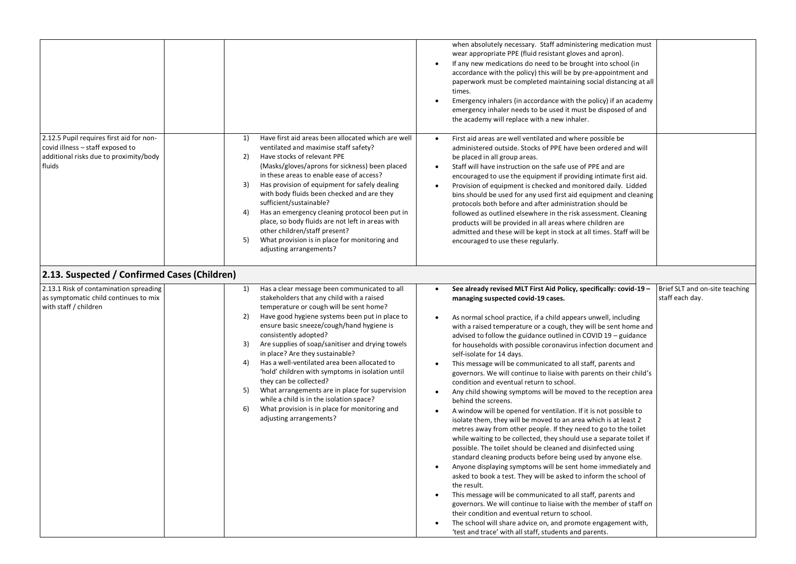|                                                                                                                                  |                                                                                                                                                                                                                                                                                                                                                                                                                                                                                                                                                                                                                                                                                                 | when absolutely necessary. Staff administering medication must<br>wear appropriate PPE (fluid resistant gloves and apron).<br>If any new medications do need to be brought into school (in<br>$\bullet$<br>accordance with the policy) this will be by pre-appointment and<br>paperwork must be completed maintaining social distancing at all<br>times.<br>Emergency inhalers (in accordance with the policy) if an academy<br>$\bullet$<br>emergency inhaler needs to be used it must be disposed of and<br>the academy will replace with a new inhaler.                                                                                                                                                                                                                                                                                                                                                                                                                                                                                                                                                                                                                                                                                                                                                                                                                                                                                                                                                                                                                                                                                                                                               |
|----------------------------------------------------------------------------------------------------------------------------------|-------------------------------------------------------------------------------------------------------------------------------------------------------------------------------------------------------------------------------------------------------------------------------------------------------------------------------------------------------------------------------------------------------------------------------------------------------------------------------------------------------------------------------------------------------------------------------------------------------------------------------------------------------------------------------------------------|----------------------------------------------------------------------------------------------------------------------------------------------------------------------------------------------------------------------------------------------------------------------------------------------------------------------------------------------------------------------------------------------------------------------------------------------------------------------------------------------------------------------------------------------------------------------------------------------------------------------------------------------------------------------------------------------------------------------------------------------------------------------------------------------------------------------------------------------------------------------------------------------------------------------------------------------------------------------------------------------------------------------------------------------------------------------------------------------------------------------------------------------------------------------------------------------------------------------------------------------------------------------------------------------------------------------------------------------------------------------------------------------------------------------------------------------------------------------------------------------------------------------------------------------------------------------------------------------------------------------------------------------------------------------------------------------------------|
| 2.12.5 Pupil requires first aid for non-<br>covid illness - staff exposed to<br>additional risks due to proximity/body<br>fluids | Have first aid areas been allocated which are well<br>1)<br>ventilated and maximise staff safety?<br>Have stocks of relevant PPE<br>2)<br>(Masks/gloves/aprons for sickness) been placed<br>in these areas to enable ease of access?<br>3)<br>Has provision of equipment for safely dealing<br>with body fluids been checked and are they<br>sufficient/sustainable?<br>Has an emergency cleaning protocol been put in<br>4)<br>place, so body fluids are not left in areas with<br>other children/staff present?<br>5)<br>What provision is in place for monitoring and<br>adjusting arrangements?                                                                                             | First aid areas are well ventilated and where possible be<br>administered outside. Stocks of PPE have been ordered and will<br>be placed in all group areas.<br>Staff will have instruction on the safe use of PPE and are<br>$\bullet$<br>encouraged to use the equipment if providing intimate first aid.<br>Provision of equipment is checked and monitored daily. Lidded<br>bins should be used for any used first aid equipment and cleaning<br>protocols both before and after administration should be<br>followed as outlined elsewhere in the risk assessment. Cleaning<br>products will be provided in all areas where children are<br>admitted and these will be kept in stock at all times. Staff will be<br>encouraged to use these regularly.                                                                                                                                                                                                                                                                                                                                                                                                                                                                                                                                                                                                                                                                                                                                                                                                                                                                                                                                              |
| 2.13. Suspected / Confirmed Cases (Children)                                                                                     |                                                                                                                                                                                                                                                                                                                                                                                                                                                                                                                                                                                                                                                                                                 |                                                                                                                                                                                                                                                                                                                                                                                                                                                                                                                                                                                                                                                                                                                                                                                                                                                                                                                                                                                                                                                                                                                                                                                                                                                                                                                                                                                                                                                                                                                                                                                                                                                                                                          |
| 2.13.1 Risk of contamination spreading<br>as symptomatic child continues to mix<br>with staff / children                         | Has a clear message been communicated to all<br>1)<br>stakeholders that any child with a raised<br>temperature or cough will be sent home?<br>Have good hygiene systems been put in place to<br>2)<br>ensure basic sneeze/cough/hand hygiene is<br>consistently adopted?<br>Are supplies of soap/sanitiser and drying towels<br>3)<br>in place? Are they sustainable?<br>Has a well-ventilated area been allocated to<br>4)<br>'hold' children with symptoms in isolation until<br>they can be collected?<br>What arrangements are in place for supervision<br>5)<br>while a child is in the isolation space?<br>What provision is in place for monitoring and<br>6)<br>adjusting arrangements? | Brief SLT and on-site teaching<br>See already revised MLT First Aid Policy, specifically: covid-19 -<br>$\bullet$<br>staff each day.<br>managing suspected covid-19 cases.<br>As normal school practice, if a child appears unwell, including<br>$\bullet$<br>with a raised temperature or a cough, they will be sent home and<br>advised to follow the guidance outlined in COVID 19 - guidance<br>for households with possible coronavirus infection document and<br>self-isolate for 14 days.<br>This message will be communicated to all staff, parents and<br>governors. We will continue to liaise with parents on their child's<br>condition and eventual return to school.<br>Any child showing symptoms will be moved to the reception area<br>$\bullet$<br>behind the screens.<br>A window will be opened for ventilation. If it is not possible to<br>$\bullet$<br>isolate them, they will be moved to an area which is at least 2<br>metres away from other people. If they need to go to the toilet<br>while waiting to be collected, they should use a separate toilet if<br>possible. The toilet should be cleaned and disinfected using<br>standard cleaning products before being used by anyone else.<br>Anyone displaying symptoms will be sent home immediately and<br>asked to book a test. They will be asked to inform the school of<br>the result.<br>This message will be communicated to all staff, parents and<br>$\bullet$<br>governors. We will continue to liaise with the member of staff on<br>their condition and eventual return to school.<br>The school will share advice on, and promote engagement with,<br>'test and trace' with all staff, students and parents. |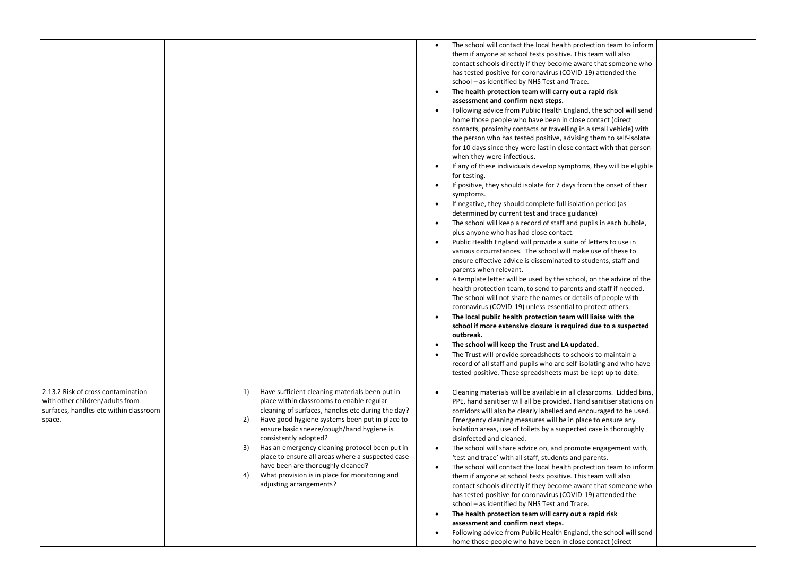|                                                                                                                           |                                                                                                                                                                                                                                                                                                                                                                                                                                                                                                                         | The school will contact the local health protection team to inform<br>٠<br>them if anyone at school tests positive. This team will also<br>contact schools directly if they become aware that someone who<br>has tested positive for coronavirus (COVID-19) attended the<br>school - as identified by NHS Test and Trace.<br>The health protection team will carry out a rapid risk<br>assessment and confirm next steps.<br>Following advice from Public Health England, the school will send<br>$\bullet$<br>home those people who have been in close contact (direct<br>contacts, proximity contacts or travelling in a small vehicle) with<br>the person who has tested positive, advising them to self-isolate<br>for 10 days since they were last in close contact with that person<br>when they were infectious.<br>If any of these individuals develop symptoms, they will be eligible<br>for testing.<br>If positive, they should isolate for 7 days from the onset of their<br>$\bullet$<br>symptoms.<br>If negative, they should complete full isolation period (as<br>٠<br>determined by current test and trace guidance)<br>The school will keep a record of staff and pupils in each bubble,<br>$\bullet$<br>plus anyone who has had close contact.<br>Public Health England will provide a suite of letters to use in<br>$\bullet$<br>various circumstances. The school will make use of these to<br>ensure effective advice is disseminated to students, staff and<br>parents when relevant.<br>A template letter will be used by the school, on the advice of the<br>health protection team, to send to parents and staff if needed.<br>The school will not share the names or details of people with<br>coronavirus (COVID-19) unless essential to protect others.<br>The local public health protection team will liaise with the<br>school if more extensive closure is required due to a suspected<br>outbreak.<br>The school will keep the Trust and LA updated.<br>The Trust will provide spreadsheets to schools to maintain a<br>record of all staff and pupils who are self-isolating and who have<br>tested positive. These spreadsheets must be kept up to date. |  |
|---------------------------------------------------------------------------------------------------------------------------|-------------------------------------------------------------------------------------------------------------------------------------------------------------------------------------------------------------------------------------------------------------------------------------------------------------------------------------------------------------------------------------------------------------------------------------------------------------------------------------------------------------------------|----------------------------------------------------------------------------------------------------------------------------------------------------------------------------------------------------------------------------------------------------------------------------------------------------------------------------------------------------------------------------------------------------------------------------------------------------------------------------------------------------------------------------------------------------------------------------------------------------------------------------------------------------------------------------------------------------------------------------------------------------------------------------------------------------------------------------------------------------------------------------------------------------------------------------------------------------------------------------------------------------------------------------------------------------------------------------------------------------------------------------------------------------------------------------------------------------------------------------------------------------------------------------------------------------------------------------------------------------------------------------------------------------------------------------------------------------------------------------------------------------------------------------------------------------------------------------------------------------------------------------------------------------------------------------------------------------------------------------------------------------------------------------------------------------------------------------------------------------------------------------------------------------------------------------------------------------------------------------------------------------------------------------------------------------------------------------------------------------------------------------------------------------------------------------------------------|--|
| 2.13.2 Risk of cross contamination<br>with other children/adults from<br>surfaces, handles etc within classroom<br>space. | Have sufficient cleaning materials been put in<br>1)<br>place within classrooms to enable regular<br>cleaning of surfaces, handles etc during the day?<br>2)<br>Have good hygiene systems been put in place to<br>ensure basic sneeze/cough/hand hygiene is<br>consistently adopted?<br>Has an emergency cleaning protocol been put in<br>3)<br>place to ensure all areas where a suspected case<br>have been are thoroughly cleaned?<br>What provision is in place for monitoring and<br>4)<br>adjusting arrangements? | Cleaning materials will be available in all classrooms. Lidded bins,<br>$\bullet$<br>PPE, hand sanitiser will all be provided. Hand sanitiser stations on<br>corridors will also be clearly labelled and encouraged to be used.<br>Emergency cleaning measures will be in place to ensure any<br>isolation areas, use of toilets by a suspected case is thoroughly<br>disinfected and cleaned.<br>The school will share advice on, and promote engagement with,<br>'test and trace' with all staff, students and parents.<br>The school will contact the local health protection team to inform<br>them if anyone at school tests positive. This team will also<br>contact schools directly if they become aware that someone who<br>has tested positive for coronavirus (COVID-19) attended the<br>school - as identified by NHS Test and Trace.<br>The health protection team will carry out a rapid risk<br>٠<br>assessment and confirm next steps.<br>Following advice from Public Health England, the school will send<br>home those people who have been in close contact (direct                                                                                                                                                                                                                                                                                                                                                                                                                                                                                                                                                                                                                                                                                                                                                                                                                                                                                                                                                                                                                                                                                                      |  |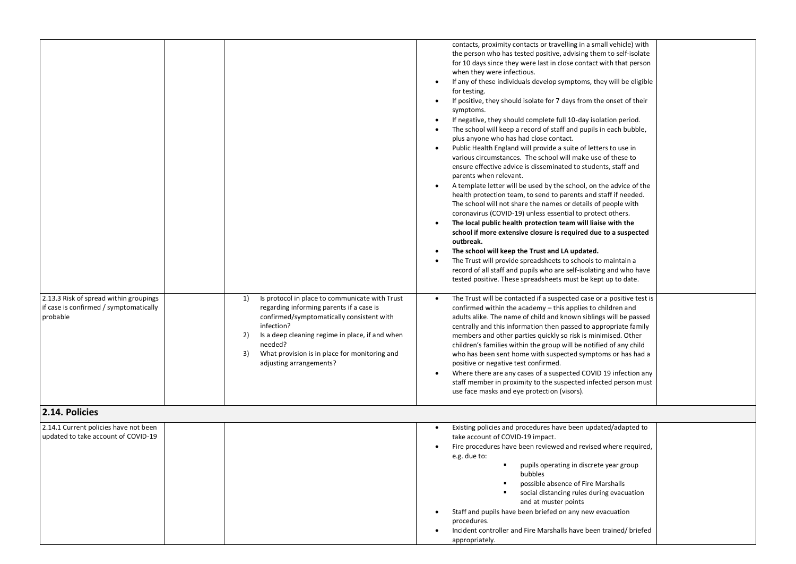| 2.13.3 Risk of spread within groupings<br>1)<br>if case is confirmed / symptomatically<br>probable<br>infection?<br>2)<br>needed?<br>3)<br>adjusting arrangements? | contacts, proximity contacts or travelling in a small vehicle) with<br>the person who has tested positive, advising them to self-isolate<br>for 10 days since they were last in close contact with that person<br>when they were infectious.<br>If any of these individuals develop symptoms, they will be eligible<br>$\bullet$<br>for testing.<br>If positive, they should isolate for 7 days from the onset of their<br>$\bullet$<br>symptoms.<br>If negative, they should complete full 10-day isolation period.<br>$\bullet$<br>The school will keep a record of staff and pupils in each bubble,<br>$\bullet$<br>plus anyone who has had close contact.<br>Public Health England will provide a suite of letters to use in<br>$\bullet$<br>various circumstances. The school will make use of these to<br>ensure effective advice is disseminated to students, staff and<br>parents when relevant.<br>A template letter will be used by the school, on the advice of the<br>$\bullet$<br>health protection team, to send to parents and staff if needed.<br>The school will not share the names or details of people with<br>coronavirus (COVID-19) unless essential to protect others.<br>The local public health protection team will liaise with the<br>$\bullet$<br>school if more extensive closure is required due to a suspected<br>outbreak.<br>The school will keep the Trust and LA updated.<br>$\bullet$<br>The Trust will provide spreadsheets to schools to maintain a<br>$\bullet$<br>record of all staff and pupils who are self-isolating and who have<br>tested positive. These spreadsheets must be kept up to date.<br>Is protocol in place to communicate with Trust<br>The Trust will be contacted if a suspected case or a positive test is<br>regarding informing parents if a case is<br>confirmed within the academy - this applies to children and<br>confirmed/symptomatically consistent with<br>adults alike. The name of child and known siblings will be passed<br>centrally and this information then passed to appropriate family<br>Is a deep cleaning regime in place, if and when<br>members and other parties quickly so risk is minimised. Other<br>children's families within the group will be notified of any child<br>What provision is in place for monitoring and<br>who has been sent home with suspected symptoms or has had a<br>positive or negative test confirmed.<br>Where there are any cases of a suspected COVID 19 infection any<br>$\bullet$<br>staff member in proximity to the suspected infected person must<br>use face masks and eye protection (visors). |
|--------------------------------------------------------------------------------------------------------------------------------------------------------------------|------------------------------------------------------------------------------------------------------------------------------------------------------------------------------------------------------------------------------------------------------------------------------------------------------------------------------------------------------------------------------------------------------------------------------------------------------------------------------------------------------------------------------------------------------------------------------------------------------------------------------------------------------------------------------------------------------------------------------------------------------------------------------------------------------------------------------------------------------------------------------------------------------------------------------------------------------------------------------------------------------------------------------------------------------------------------------------------------------------------------------------------------------------------------------------------------------------------------------------------------------------------------------------------------------------------------------------------------------------------------------------------------------------------------------------------------------------------------------------------------------------------------------------------------------------------------------------------------------------------------------------------------------------------------------------------------------------------------------------------------------------------------------------------------------------------------------------------------------------------------------------------------------------------------------------------------------------------------------------------------------------------------------------------------------------------------------------------------------------------------------------------------------------------------------------------------------------------------------------------------------------------------------------------------------------------------------------------------------------------------------------------------------------------------------------------------------------------------------------------------------------------------------------------------------------------------------------------------------------------------------|
| 2.14. Policies                                                                                                                                                     |                                                                                                                                                                                                                                                                                                                                                                                                                                                                                                                                                                                                                                                                                                                                                                                                                                                                                                                                                                                                                                                                                                                                                                                                                                                                                                                                                                                                                                                                                                                                                                                                                                                                                                                                                                                                                                                                                                                                                                                                                                                                                                                                                                                                                                                                                                                                                                                                                                                                                                                                                                                                                              |
| 2.14.1 Current policies have not been<br>updated to take account of COVID-19                                                                                       | Existing policies and procedures have been updated/adapted to<br>take account of COVID-19 impact.<br>Fire procedures have been reviewed and revised where required,<br>e.g. due to:<br>pupils operating in discrete year group<br>bubbles<br>possible absence of Fire Marshalls<br>social distancing rules during evacuation<br>and at muster points<br>Staff and pupils have been briefed on any new evacuation<br>$\bullet$<br>procedures.<br>Incident controller and Fire Marshalls have been trained/ briefed<br>appropriately.                                                                                                                                                                                                                                                                                                                                                                                                                                                                                                                                                                                                                                                                                                                                                                                                                                                                                                                                                                                                                                                                                                                                                                                                                                                                                                                                                                                                                                                                                                                                                                                                                                                                                                                                                                                                                                                                                                                                                                                                                                                                                          |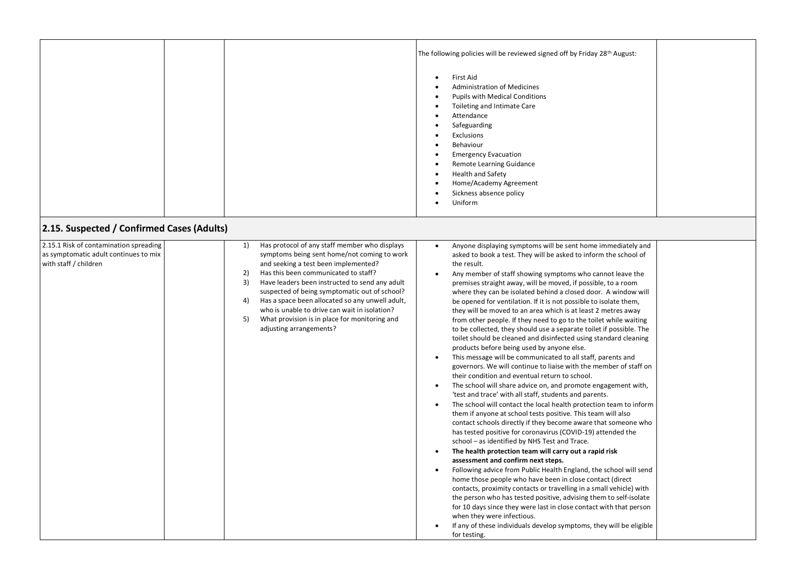|                                                                                                          |                                                                                                                                                                                                                                                                                                                                                                                                                                                                                               | The following policies will be reviewed signed off by Friday 28th August:<br><b>First Aid</b><br>$\bullet$<br><b>Administration of Medicines</b><br><b>Pupils with Medical Conditions</b><br>Toileting and Intimate Care<br>$\bullet$<br>Attendance<br>$\bullet$<br>Safeguarding<br>Exclusions<br>Behaviour<br>$\bullet$<br><b>Emergency Evacuation</b><br>$\bullet$<br>Remote Learning Guidance<br><b>Health and Safety</b><br>$\bullet$<br>Home/Academy Agreement<br>Sickness absence policy<br>Uniform<br>$\bullet$                                                                                                                                                                                                                                                                                                                                                                                                                                                                                                                                                                                                                                                                                                                                                                                                                                                                                                                                                                                                                                                                                                                                                                                                                                                                                                                                                                                                                                                                                                   |
|----------------------------------------------------------------------------------------------------------|-----------------------------------------------------------------------------------------------------------------------------------------------------------------------------------------------------------------------------------------------------------------------------------------------------------------------------------------------------------------------------------------------------------------------------------------------------------------------------------------------|--------------------------------------------------------------------------------------------------------------------------------------------------------------------------------------------------------------------------------------------------------------------------------------------------------------------------------------------------------------------------------------------------------------------------------------------------------------------------------------------------------------------------------------------------------------------------------------------------------------------------------------------------------------------------------------------------------------------------------------------------------------------------------------------------------------------------------------------------------------------------------------------------------------------------------------------------------------------------------------------------------------------------------------------------------------------------------------------------------------------------------------------------------------------------------------------------------------------------------------------------------------------------------------------------------------------------------------------------------------------------------------------------------------------------------------------------------------------------------------------------------------------------------------------------------------------------------------------------------------------------------------------------------------------------------------------------------------------------------------------------------------------------------------------------------------------------------------------------------------------------------------------------------------------------------------------------------------------------------------------------------------------------|
| 2.15. Suspected / Confirmed Cases (Adults)                                                               |                                                                                                                                                                                                                                                                                                                                                                                                                                                                                               |                                                                                                                                                                                                                                                                                                                                                                                                                                                                                                                                                                                                                                                                                                                                                                                                                                                                                                                                                                                                                                                                                                                                                                                                                                                                                                                                                                                                                                                                                                                                                                                                                                                                                                                                                                                                                                                                                                                                                                                                                          |
| 2.15.1 Risk of contamination spreading<br>as symptomatic adult continues to mix<br>with staff / children | Has protocol of any staff member who displays<br>1)<br>symptoms being sent home/not coming to work<br>and seeking a test been implemented?<br>2)<br>Has this been communicated to staff?<br>3)<br>Have leaders been instructed to send any adult<br>suspected of being symptomatic out of school?<br>Has a space been allocated so any unwell adult,<br>4)<br>who is unable to drive can wait in isolation?<br>What provision is in place for monitoring and<br>5)<br>adjusting arrangements? | Anyone displaying symptoms will be sent home immediately and<br>$\bullet$<br>asked to book a test. They will be asked to inform the school of<br>the result.<br>Any member of staff showing symptoms who cannot leave the<br>$\bullet$<br>premises straight away, will be moved, if possible, to a room<br>where they can be isolated behind a closed door. A window will<br>be opened for ventilation. If it is not possible to isolate them,<br>they will be moved to an area which is at least 2 metres away<br>from other people. If they need to go to the toilet while waiting<br>to be collected, they should use a separate toilet if possible. The<br>toilet should be cleaned and disinfected using standard cleaning<br>products before being used by anyone else.<br>This message will be communicated to all staff, parents and<br>governors. We will continue to liaise with the member of staff on<br>their condition and eventual return to school.<br>The school will share advice on, and promote engagement with,<br>$\bullet$<br>'test and trace' with all staff, students and parents.<br>The school will contact the local health protection team to inform<br>$\bullet$<br>them if anyone at school tests positive. This team will also<br>contact schools directly if they become aware that someone who<br>has tested positive for coronavirus (COVID-19) attended the<br>school - as identified by NHS Test and Trace.<br>The health protection team will carry out a rapid risk<br>assessment and confirm next steps.<br>Following advice from Public Health England, the school will send<br>home those people who have been in close contact (direct<br>contacts, proximity contacts or travelling in a small vehicle) with<br>the person who has tested positive, advising them to self-isolate<br>for 10 days since they were last in close contact with that person<br>when they were infectious.<br>If any of these individuals develop symptoms, they will be eligible<br>for testing. |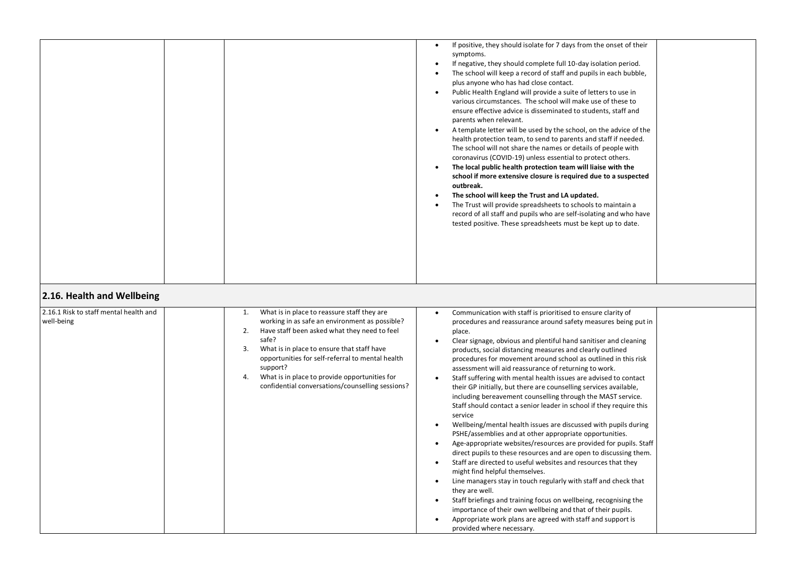|                                                                                    |                                                                                                                                                                                                                                                                                                                                                                                                   | If positive, they should isolate for 7 days from the onset of their<br>$\bullet$<br>symptoms.<br>If negative, they should complete full 10-day isolation period.<br>$\bullet$<br>The school will keep a record of staff and pupils in each bubble,<br>$\bullet$<br>plus anyone who has had close contact.<br>Public Health England will provide a suite of letters to use in<br>$\bullet$<br>various circumstances. The school will make use of these to<br>ensure effective advice is disseminated to students, staff and<br>parents when relevant.<br>A template letter will be used by the school, on the advice of the<br>$\bullet$<br>health protection team, to send to parents and staff if needed.<br>The school will not share the names or details of people with<br>coronavirus (COVID-19) unless essential to protect others.<br>The local public health protection team will liaise with the<br>$\bullet$<br>school if more extensive closure is required due to a suspected<br>outbreak.<br>The school will keep the Trust and LA updated.<br>$\bullet$<br>The Trust will provide spreadsheets to schools to maintain a<br>record of all staff and pupils who are self-isolating and who have<br>tested positive. These spreadsheets must be kept up to date.                                                                                                                                                                    |  |
|------------------------------------------------------------------------------------|---------------------------------------------------------------------------------------------------------------------------------------------------------------------------------------------------------------------------------------------------------------------------------------------------------------------------------------------------------------------------------------------------|------------------------------------------------------------------------------------------------------------------------------------------------------------------------------------------------------------------------------------------------------------------------------------------------------------------------------------------------------------------------------------------------------------------------------------------------------------------------------------------------------------------------------------------------------------------------------------------------------------------------------------------------------------------------------------------------------------------------------------------------------------------------------------------------------------------------------------------------------------------------------------------------------------------------------------------------------------------------------------------------------------------------------------------------------------------------------------------------------------------------------------------------------------------------------------------------------------------------------------------------------------------------------------------------------------------------------------------------------------------------------------------------------------------------------------------------|--|
| 2.16. Health and Wellbeing<br>2.16.1 Risk to staff mental health and<br>well-being | What is in place to reassure staff they are<br>1.<br>working in as safe an environment as possible?<br>2.<br>Have staff been asked what they need to feel<br>safe?<br>What is in place to ensure that staff have<br>3.<br>opportunities for self-referral to mental health<br>support?<br>What is in place to provide opportunities for<br>4.<br>confidential conversations/counselling sessions? | Communication with staff is prioritised to ensure clarity of<br>procedures and reassurance around safety measures being put in<br>place.<br>Clear signage, obvious and plentiful hand sanitiser and cleaning<br>$\bullet$<br>products, social distancing measures and clearly outlined<br>procedures for movement around school as outlined in this risk<br>assessment will aid reassurance of returning to work.<br>Staff suffering with mental health issues are advised to contact<br>$\bullet$<br>their GP initially, but there are counselling services available,<br>including bereavement counselling through the MAST service.<br>Staff should contact a senior leader in school if they require this<br>service<br>Wellbeing/mental health issues are discussed with pupils during<br>$\bullet$<br>PSHE/assemblies and at other appropriate opportunities.<br>Age-appropriate websites/resources are provided for pupils. Staff<br>direct pupils to these resources and are open to discussing them.<br>Staff are directed to useful websites and resources that they<br>might find helpful themselves.<br>Line managers stay in touch regularly with staff and check that<br>$\bullet$<br>they are well.<br>Staff briefings and training focus on wellbeing, recognising the<br>$\bullet$<br>importance of their own wellbeing and that of their pupils.<br>Appropriate work plans are agreed with staff and support is<br>$\bullet$ |  |